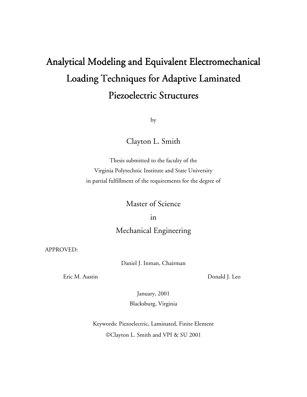# Analytical Modeling and Equivalent Electromechanical Loading Techniques for Adaptive Laminated Piezoelectric Structures

by

Clayton L. Smith

Thesis submitted to the faculty of the Virginia Polytechnic Institute and State University in partial fulfillment of the requirements for the degree of

Master of Science

in

### Mechanical Engineering

APPROVED:

Daniel J. Inman, Chairman

Eric M. Austin Donald J. Leo

January, 2001 Blacksburg, Virginia

Keywords: Piezoelectric, Laminated, Finite Element Clayton L. Smith and VPI & SU 2001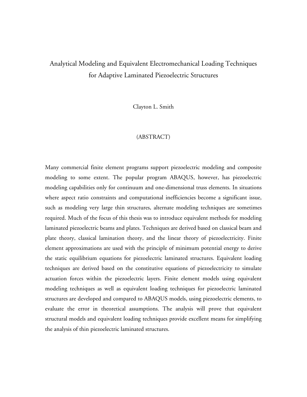## Analytical Modeling and Equivalent Electromechanical Loading Techniques for Adaptive Laminated Piezoelectric Structures

Clayton L. Smith

#### (ABSTRACT)

Many commercial finite element programs support piezoelectric modeling and composite modeling to some extent. The popular program ABAQUS, however, has piezoelectric modeling capabilities only for continuum and one-dimensional truss elements. In situations where aspect ratio constraints and computational inefficiencies become a significant issue, such as modeling very large thin structures, alternate modeling techniques are sometimes required. Much of the focus of this thesis was to introduce equivalent methods for modeling laminated piezoelectric beams and plates. Techniques are derived based on classical beam and plate theory, classical lamination theory, and the linear theory of piezoelectricity. Finite element approximations are used with the principle of minimum potential energy to derive the static equilibrium equations for piezoelectric laminated structures. Equivalent loading techniques are derived based on the constitutive equations of piezoelectricity to simulate actuation forces within the piezoelectric layers. Finite element models using equivalent modeling techniques as well as equivalent loading techniques for piezoelectric laminated structures are developed and compared to ABAQUS models, using piezoelectric elements, to evaluate the error in theoretical assumptions. The analysis will prove that equivalent structural models and equivalent loading techniques provide excellent means for simplifying the analysis of thin piezoelectric laminated structures.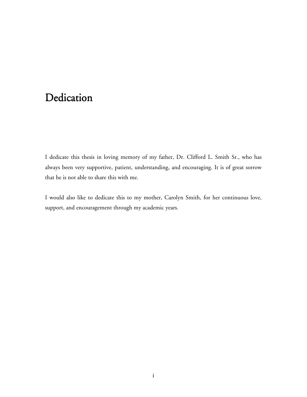# Dedication

I dedicate this thesis in loving memory of my father, Dr. Clifford L. Smith Sr., who has always been very supportive, patient, understanding, and encouraging. It is of great sorrow that he is not able to share this with me.

I would also like to dedicate this to my mother, Carolyn Smith, for her continuous love, support, and encouragement through my academic years.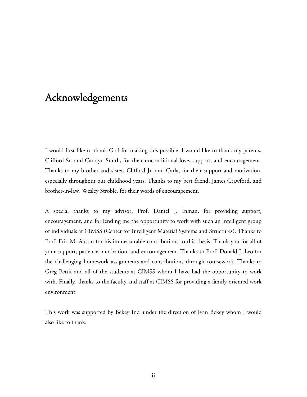# Acknowledgements

I would first like to thank God for making this possible. I would like to thank my parents, Clifford Sr. and Carolyn Smith, for their unconditional love, support, and encouragement. Thanks to my brother and sister, Clifford Jr. and Carla, for their support and motivation, especially throughout our childhood years. Thanks to my best friend, James Crawford, and brother-in-law, Wesley Stroble, for their words of encouragement.

A special thanks to my advisor, Prof. Daniel J. Inman, for providing support, encouragement, and for lending me the opportunity to work with such an intelligent group of individuals at CIMSS (Center for Intelligent Material Systems and Structures). Thanks to Prof. Eric M. Austin for his immeasurable contributions to this thesis. Thank you for all of your support, patience, motivation, and encouragement. Thanks to Prof. Donald J. Leo for the challenging homework assignments and contributions through coursework. Thanks to Greg Pettit and all of the students at CIMSS whom I have had the opportunity to work with. Finally, thanks to the faculty and staff at CIMSS for providing a family-oriented work environment.

This work was supported by Bekey Inc. under the direction of Ivan Bekey whom I would also like to thank.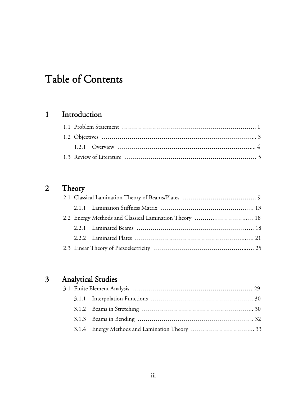# Table of Contents

## 1 Introduction

# 2 Theory

### 3 Analytical Studies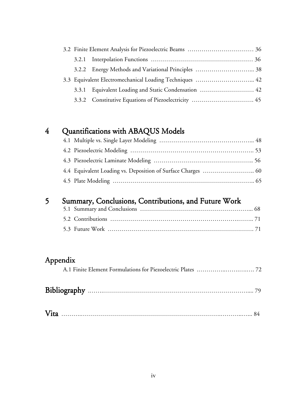|  | 3.3 Equivalent Electromechanical Loading Techniques  42 |  |
|--|---------------------------------------------------------|--|
|  | 3.3.1 Equivalent Loading and Static Condensation  42    |  |
|  |                                                         |  |

## 4 Quantifications with ABAQUS Models

# 5 Summary, Conclusions, Contributions, and Future Work<br>5.1 Summary and Conclusions

## Appendix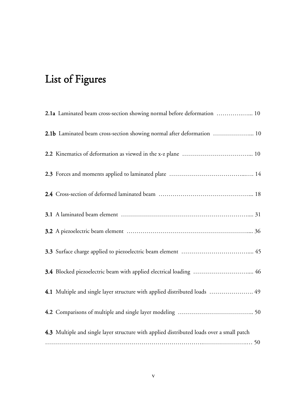# List of Figures

| <b>2.1a</b> Laminated beam cross-section showing normal before deformation  10            |
|-------------------------------------------------------------------------------------------|
| 2.1b Laminated beam cross-section showing normal after deformation  10                    |
|                                                                                           |
|                                                                                           |
|                                                                                           |
|                                                                                           |
|                                                                                           |
|                                                                                           |
| 3.4 Blocked piezoelectric beam with applied electrical loading  46                        |
| 4.1 Multiple and single layer structure with applied distributed loads  49                |
|                                                                                           |
| 4.3 Multiple and single layer structure with applied distributed loads over a small patch |
|                                                                                           |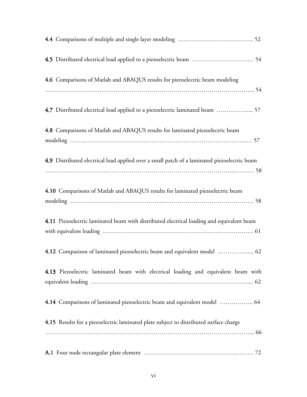| 4.6 Comparisons of Matlab and ABAQUS results for piezoelectric beam modeling                 |
|----------------------------------------------------------------------------------------------|
|                                                                                              |
| 4.7 Distributed electrical load applied to a piezoelectric laminated beam  57                |
| 4.8 Comparisons of Matlab and ABAQUS results for laminated piezoelectric beam                |
|                                                                                              |
| 4.9 Distributed electrical load applied over a small patch of a laminated piezoelectric beam |
|                                                                                              |
| 4.10 Comparisons of Matlab and ABAQUS results for laminated piezoelectric beam               |
|                                                                                              |
| 4.11 Piezoelectric laminated beam with distributed electrical loading and equivalent beam    |
| 4.12 Comparison of laminated piezoelectric beam and equivalent model  62                     |
|                                                                                              |
| 4.13 Piezoelectric laminated beam with electrical loading and equivalent beam with           |
| 4.14 Comparisons of laminated piezoelectric beam and equivalent model  64                    |
| 4.15 Results for a piezoelectric laminated plate subject to distributed surface charge       |
|                                                                                              |
|                                                                                              |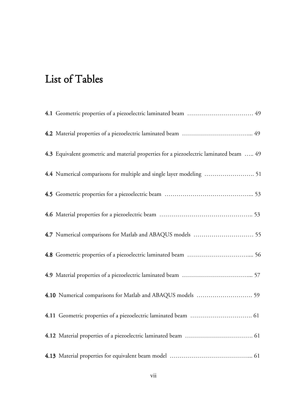# List of Tables

| 4.1 Geometric properties of a piezoelectric laminated beam  49                          |
|-----------------------------------------------------------------------------------------|
|                                                                                         |
| 4.3 Equivalent geometric and material properties for a piezoelectric laminated beam  49 |
|                                                                                         |
|                                                                                         |
|                                                                                         |
|                                                                                         |
|                                                                                         |
|                                                                                         |
|                                                                                         |
|                                                                                         |
|                                                                                         |
|                                                                                         |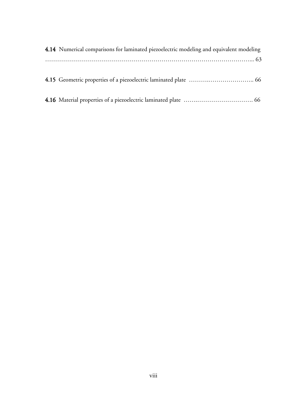| 4.14 Numerical comparisons for laminated piezoelectric modeling and equivalent modeling |
|-----------------------------------------------------------------------------------------|
|                                                                                         |
|                                                                                         |
|                                                                                         |
|                                                                                         |
|                                                                                         |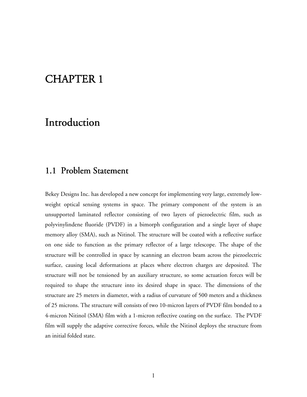# CHAPTER 1

## Introduction

## 1.1 Problem Statement

Bekey Designs Inc. has developed a new concept for implementing very large, extremely lowweight optical sensing systems in space. The primary component of the system is an unsupported laminated reflector consisting of two layers of piezoelectric film, such as polyvinylindene fluoride (PVDF) in a bimorph configuration and a single layer of shape memory alloy (SMA), such as Nitinol. The structure will be coated with a reflective surface on one side to function as the primary reflector of a large telescope. The shape of the structure will be controlled in space by scanning an electron beam across the piezoelectric surface, causing local deformations at places where electron charges are deposited. The structure will not be tensioned by an auxiliary structure, so some actuation forces will be required to shape the structure into its desired shape in space. The dimensions of the structure are 25 meters in diameter, with a radius of curvature of 500 meters and a thickness of 25 microns. The structure will consists of two 10-micron layers of PVDF film bonded to a 4-micron Nitinol (SMA) film with a 1-micron reflective coating on the surface. The PVDF film will supply the adaptive corrective forces, while the Nitinol deploys the structure from an initial folded state.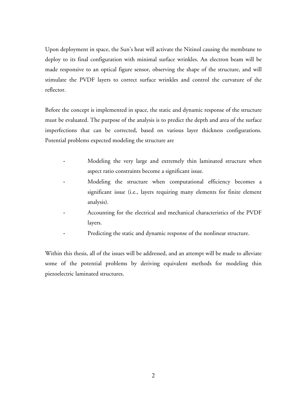Upon deployment in space, the Sun's heat will activate the Nitinol causing the membrane to deploy to its final configuration with minimal surface wrinkles. An electron beam will be made responsive to an optical figure sensor, observing the shape of the structure, and will stimulate the PVDF layers to correct surface wrinkles and control the curvature of the reflector.

Before the concept is implemented in space, the static and dynamic response of the structure must be evaluated. The purpose of the analysis is to predict the depth and area of the surface imperfections that can be corrected, based on various layer thickness configurations. Potential problems expected modeling the structure are

- Modeling the very large and extremely thin laminated structure when aspect ratio constraints become a significant issue.
- Modeling the structure when computational efficiency becomes a significant issue (i.e., layers requiring many elements for finite element analysis).
- Accounting for the electrical and mechanical characteristics of the PVDF layers.
- Predicting the static and dynamic response of the nonlinear structure.

Within this thesis, all of the issues will be addressed, and an attempt will be made to alleviate some of the potential problems by deriving equivalent methods for modeling thin piezoelectric laminated structures.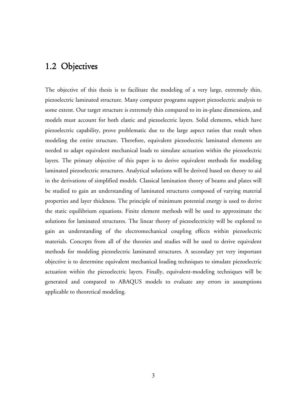## 1.2 Objectives

The objective of this thesis is to facilitate the modeling of a very large, extremely thin, piezoelectric laminated structure. Many computer programs support piezoelectric analysis to some extent. Our target structure is extremely thin compared to its in-plane dimensions, and models must account for both elastic and piezoelectric layers. Solid elements, which have piezoelectric capability, prove problematic due to the large aspect ratios that result when modeling the entire structure. Therefore, equivalent piezoelectric laminated elements are needed to adapt equivalent mechanical loads to simulate actuation within the piezoelectric layers. The primary objective of this paper is to derive equivalent methods for modeling laminated piezoelectric structures. Analytical solutions will be derived based on theory to aid in the derivations of simplified models. Classical lamination theory of beams and plates will be studied to gain an understanding of laminated structures composed of varying material properties and layer thickness. The principle of minimum potential energy is used to derive the static equilibrium equations. Finite element methods will be used to approximate the solutions for laminated structures. The linear theory of piezoelectricity will be explored to gain an understanding of the electromechanical coupling effects within piezoelectric materials. Concepts from all of the theories and studies will be used to derive equivalent methods for modeling piezoelectric laminated structures. A secondary yet very important objective is to determine equivalent mechanical loading techniques to simulate piezoelectric actuation within the piezoelectric layers. Finally, equivalent-modeling techniques will be generated and compared to ABAQUS models to evaluate any errors in assumptions applicable to theoretical modeling.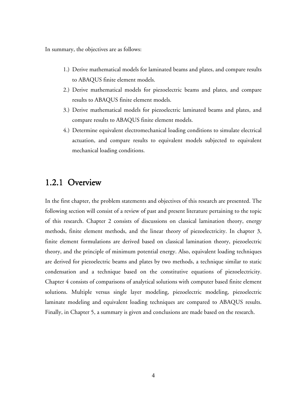In summary, the objectives are as follows:

- 1.) Derive mathematical models for laminated beams and plates, and compare results to ABAQUS finite element models.
- 2.) Derive mathematical models for piezoelectric beams and plates, and compare results to ABAQUS finite element models.
- 3.) Derive mathematical models for piezoelectric laminated beams and plates, and compare results to ABAQUS finite element models.
- 4.) Determine equivalent electromechanical loading conditions to simulate electrical actuation, and compare results to equivalent models subjected to equivalent mechanical loading conditions.

## 1.2.1 Overview

In the first chapter, the problem statements and objectives of this research are presented. The following section will consist of a review of past and present literature pertaining to the topic of this research. Chapter 2 consists of discussions on classical lamination theory, energy methods, finite element methods, and the linear theory of piezoelectricity. In chapter 3, finite element formulations are derived based on classical lamination theory, piezoelectric theory, and the principle of minimum potential energy. Also, equivalent loading techniques are derived for piezoelectric beams and plates by two methods, a technique similar to static condensation and a technique based on the constitutive equations of piezoelectricity. Chapter 4 consists of comparisons of analytical solutions with computer based finite element solutions. Multiple versus single layer modeling, piezoelectric modeling, piezoelectric laminate modeling and equivalent loading techniques are compared to ABAQUS results. Finally, in Chapter 5, a summary is given and conclusions are made based on the research.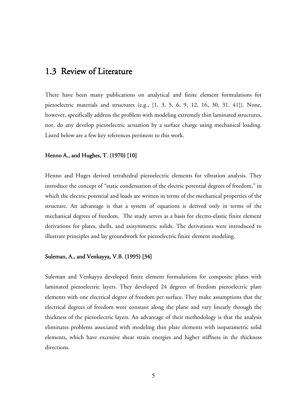### 1.3 Review of Literature

There have been many publications on analytical and finite element formulations for piezoelectric materials and structures (e.g., [1, 3, 5, 6, 9, 12, 16, 30, 31, 41]). None, however, specifically address the problem with modeling extremely thin laminated structures, nor, do any develop piezoelectric actuation by a surface charge using mechanical loading. Listed below are a few key references pertinent to this work.

#### Henno A., and Hughes, T.  $(1970)$  [10]

Henno and Huges derived tetrahedral piezoelectric elements for vibration analysis. They introduce the concept of "static condensation of the electric potential degrees of freedom," in which the electric potential and loads are written in terms of the mechanical properties of the structure. An advantage is that a system of equations is derived only in terms of the mechanical degrees of freedom. The study serves as a basis for electro-elastic finite element derivations for plates, shells, and axisymmetric solids. The derivations were introduced to illustrate principles and lay groundwork for piezoelectric finite element modeling.

#### Suleman, A., and Venkayya, V.B. (1995) [34]

Suleman and Venkayya developed finite element formulations for composite plates with laminated piezoelectric layers. They developed 24 degrees of freedom piezoelectric plate elements with one electrical degree of freedom per surface. They make assumptions that the electrical degrees of freedom were constant along the plane and vary linearly through the thickness of the piezoelectric layers. An advantage of their methodology is that the analysis eliminates problems associated with modeling thin plate elements with isoparametric solid elements, which have excessive shear strain energies and higher stiffness in the thickness directions.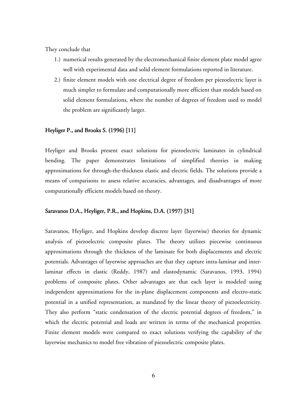They conclude that

- 1.) numerical results generated by the electromechanical finite element plate model agree well with experimental data and solid element formulations reported in literature.
- 2.) finite element models with one electrical degree of freedom per piezoelectric layer is much simpler to formulate and computationally more efficient than models based on solid element formulations, where the number of degrees of freedom used to model the problem are significantly larger.

#### Heyliger P., and Brooks S.  $(1996)$  [11]

Heyliger and Brooks present exact solutions for piezoelectric laminates in cylindrical bending. The paper demonstrates limitations of simplified theories in making approximations for through-the-thickness elastic and electric fields. The solutions provide a means of comparisons to assess relative accuracies, advantages, and disadvantages of more computationally efficient models based on theory.

#### Saravanos D.A., Heyliger, P.R., and Hopkins, D.A. (1997) [31]

Saravanos, Heyliger, and Hopkins develop discrete layer (layerwise) theories for dynamic analysis of piezoelectric composite plates. The theory utilizes piecewise continuous approximations through the thickness of the laminate for both displacements and electric potentials. Advantages of layerwise approaches are that they capture intra-laminar and interlaminar effects in elastic (Reddy, 1987) and elastodynamic (Saravanos, 1993, 1994) problems of composite plates. Other advantages are that each layer is modeled using independent approximations for the in-plane displacement components and electro-static potential in a unified representation, as mandated by the linear theory of piezoelectricity. They also perform "static condensation of the electric potential degrees of freedom," in which the electric potential and loads are written in terms of the mechanical properties. Finite element models were compared to exact solutions verifying the capability of the layerwise mechanics to model free vibration of piezoelectric composite plates.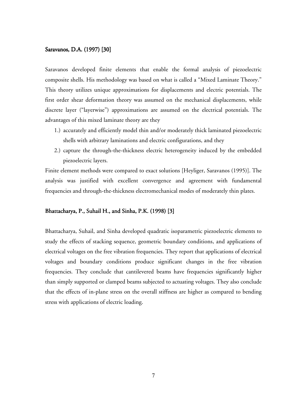#### Saravanos, D.A. (1997) [30]

Saravanos developed finite elements that enable the formal analysis of piezoelectric composite shells. His methodology was based on what is called a "Mixed Laminate Theory." This theory utilizes unique approximations for displacements and electric potentials. The first order shear deformation theory was assumed on the mechanical displacements, while discrete layer ("layerwise") approximations are assumed on the electrical potentials. The advantages of this mixed laminate theory are they

- 1.) accurately and efficiently model thin and/or moderately thick laminated piezoelectric shells with arbitrary laminations and electric configurations, and they
- 2.) capture the through-the-thickness electric heterogeneity induced by the embedded piezoelectric layers.

Finite element methods were compared to exact solutions [Heyliger, Saravanos (1995)]. The analysis was justified with excellent convergence and agreement with fundamental frequencies and through-the-thickness electromechanical modes of moderately thin plates.

#### Bhattacharya, P., Suhail H., and Sinha, P.K. (1998) [3]

Bhattacharya, Suhail, and Sinha developed quadratic isoparametric piezoelectric elements to study the effects of stacking sequence, geometric boundary conditions, and applications of electrical voltages on the free vibration frequencies. They report that applications of electrical voltages and boundary conditions produce significant changes in the free vibration frequencies. They conclude that cantilevered beams have frequencies significantly higher than simply supported or clamped beams subjected to actuating voltages. They also conclude that the effects of in-plane stress on the overall stiffness are higher as compared to bending stress with applications of electric loading.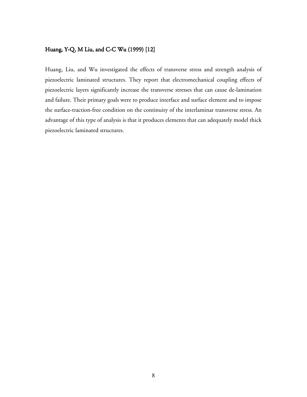#### Huang, Y-Q, M Liu, and C-C Wu (1999) [12]

Huang, Liu, and Wu investigated the effects of transverse stress and strength analysis of piezoelectric laminated structures. They report that electromechanical coupling effects of piezoelectric layers significantly increase the transverse stresses that can cause de-lamination and failure. Their primary goals were to produce interface and surface element and to impose the surface-traction-free condition on the continuity of the interlaminar transverse stress. An advantage of this type of analysis is that it produces elements that can adequately model thick piezoelectric laminated structures.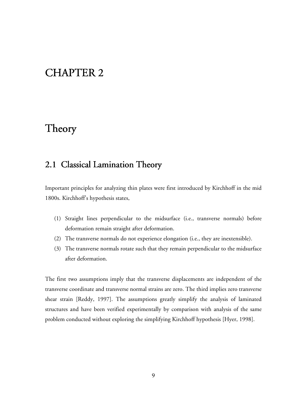# CHAPTER 2

# Theory

## 2.1 Classical Lamination Theory

Important principles for analyzing thin plates were first introduced by Kirchhoff in the mid 1800s. Kirchhoff's hypothesis states,

- (1) Straight lines perpendicular to the midsurface (i.e., transverse normals) before deformation remain straight after deformation.
- (2) The transverse normals do not experience elongation (i.e., they are inextensible).
- (3) The transverse normals rotate such that they remain perpendicular to the midsurface after deformation.

The first two assumptions imply that the transverse displacements are independent of the transverse coordinate and transverse normal strains are zero. The third implies zero transverse shear strain [Reddy, 1997]. The assumptions greatly simplify the analysis of laminated structures and have been verified experimentally by comparison with analysis of the same problem conducted without exploring the simplifying Kirchhoff hypothesis [Hyer, 1998].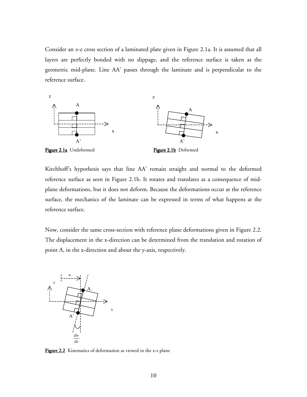Consider an *x-z* cross section of a laminated plate given in Figure 2.1a. It is assumed that all layers are perfectly bonded with no slippage, and the reference surface is taken as the geometric mid-plane. Line AA' passes through the laminate and is perpendicular to the reference surface.



Kirchhoff's hypothesis says that line AA' remain straight and normal to the deformed reference surface as seen in Figure 2.1b. It rotates and translates as a consequence of midplane deformations, but it does not deform. Because the deformations occur at the reference surface, the mechanics of the laminate can be expressed in terms of what happens at the reference surface.

Now, consider the same cross-section with reference plane deformations given in Figure 2.2. The displacement in the x-direction can be determined from the translation and rotation of point A, in the x-direction and about the y-axis, respectively.



Figure 2.2 Kinematics of deformation as viewed in the x-z plane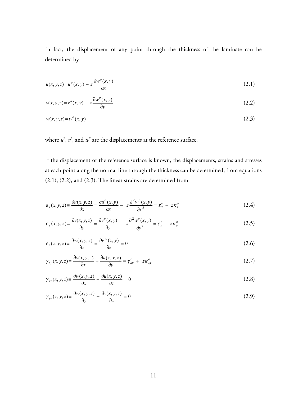In fact, the displacement of any point through the thickness of the laminate can be determined by

$$
u(x, y, z) = u^o(x, y) - z \frac{\partial w^o(x, y)}{\partial x}
$$
\n(2.1)

$$
v(x, y, z) = vo(x, y) - z \frac{\partial wo(x, y)}{\partial y}
$$
 (2.2)

$$
w(x, y, z) = w^o(x, y) \tag{2.3}
$$

where  $u^{\circ}$ ,  $v^{\circ}$ , and  $w^{\circ}$  are the displacements at the reference surface.

If the displacement of the reference surface is known, the displacements, strains and stresses at each point along the normal line through the thickness can be determined, from equations (2.1), (2.2), and (2.3). The linear strains are determined from

$$
\varepsilon_x(x, y, z) = \frac{\partial u(x, y, z)}{\partial x} = \frac{\partial u^o(x, y)}{\partial x} - z \frac{\partial^2 w^o(x, y)}{\partial x^2} = \varepsilon_x^o + z \kappa_x^o \tag{2.4}
$$

$$
\varepsilon_y(x, y, z) = \frac{\partial v(x, y, z)}{\partial y} = \frac{\partial v^o(x, y)}{\partial y} - z \frac{\partial^2 w^o(x, y)}{\partial y^2} = \varepsilon_y^o + z \kappa_y^o \tag{2.5}
$$

$$
\varepsilon_z(x, y, z) \equiv \frac{\partial w(x, y, z)}{\partial x} = \frac{\partial w^o(x, y)}{\partial z} = 0
$$
\n(2.6)

$$
\gamma_{xy}(x, y, z) \equiv \frac{\partial v(x, y, z)}{\partial x} + \frac{\partial u(x, y, z)}{\partial y} = \gamma_{xy}^o + z \kappa_{xy}^o \tag{2.7}
$$

$$
\gamma_{xz}(x, y, z) \equiv \frac{\partial w(x, y, z)}{\partial x} + \frac{\partial u(x, y, z)}{\partial z} = 0
$$
\n(2.8)

$$
\gamma_{yz}(x, y, z) \equiv \frac{\partial w(x, y, z)}{\partial y} + \frac{\partial v(x, y, z)}{\partial z} = 0
$$
\n(2.9)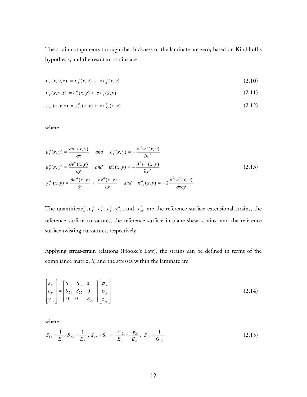The strain components through the thickness of the laminate are zero, based on Kirchhoff's hypothesis, and the resultant strains are

$$
\varepsilon_x(x, y, z) = \varepsilon_x^o(x, y) + z \kappa_x^o(x, y) \tag{2.10}
$$

$$
\varepsilon_y(x, y, z) = \varepsilon_y^o(x, y) + z \kappa_y^o(x, y) \tag{2.11}
$$

$$
\gamma_{xy}(x, y, z) = \gamma_{xy}^o(x, y) + z \kappa_{xy}^o(x, y) \tag{2.12}
$$

where

$$
\varepsilon_x^o(x, y) = \frac{\partial u^o(x, y)}{\partial x} \quad \text{and} \quad \kappa_x^o(x, y) = -\frac{\partial^2 w^o(x, y)}{\partial x^2}
$$
\n
$$
\varepsilon_y^o(x, y) = \frac{\partial v^o(x, y)}{\partial y} \quad \text{and} \quad \kappa_x^o(x, y) = -\frac{\partial^2 w^o(x, y)}{\partial x^2}
$$
\n
$$
\gamma_{xy}^o(x, y) = \frac{\partial u^o(x, y)}{\partial y} + \frac{\partial v^o(x, y)}{\partial x} \quad \text{and} \quad \kappa_{xy}^o(x, y) = -2\frac{\partial^2 w^o(x, y)}{\partial x \partial y}
$$
\n(2.13)

The quantities  $\varepsilon_x^o$ ,  $\varepsilon_y^o$ ,  $\kappa_x^o$ ,  $\kappa_y^o$ ,  $\gamma_{xy}^o$ , and  $\kappa_{xy}^o$  are the reference surface extensional strains, the reference surface curvatures, the reference surface in-plane shear strains, and the reference surface twisting curvatures, respectively.

Applying stress-strain relations (Hooke's Law), the strains can be defined in terms of the compliance matrix, *S*, and the stresses within the laminate are

$$
\begin{bmatrix} \varepsilon_x \\ \varepsilon_y \\ \gamma_{xy} \end{bmatrix} = \begin{bmatrix} S_{11} & S_{12} & 0 \\ S_{21} & S_{22} & 0 \\ 0 & 0 & S_{33} \end{bmatrix} \begin{bmatrix} \sigma_x \\ \sigma_y \\ \tau_{xy} \end{bmatrix} \tag{2.14}
$$

where

$$
S_{11} = \frac{1}{E_1}, S_{22} = \frac{1}{E_2}, S_{12} = S_{21} = \frac{-v_{12}}{E_1} = \frac{-v_{21}}{E_2}, S_{33} = \frac{1}{G_{12}}
$$
\n(2.15)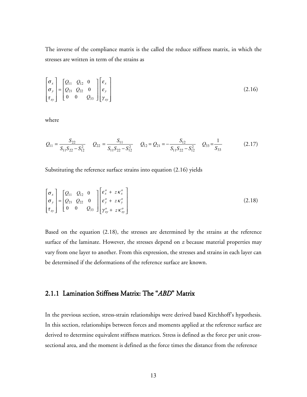The inverse of the compliance matrix is the called the reduce stiffness matrix, in which the stresses are written in term of the strains as

$$
\begin{bmatrix} \sigma_x \\ \sigma_y \\ \tau_{xy} \end{bmatrix} = \begin{bmatrix} Q_{11} & Q_{12} & 0 \\ Q_{21} & Q_{22} & 0 \\ 0 & 0 & Q_{33} \end{bmatrix} \begin{bmatrix} \varepsilon_x \\ \varepsilon_y \\ \gamma_{xy} \end{bmatrix}
$$
 (2.16)

where

$$
Q_{11} = \frac{S_{22}}{S_{11}S_{22} - S_{12}^2} \qquad Q_{22} = \frac{S_{11}}{S_{11}S_{22} - S_{12}^2} \qquad Q_{12} = Q_{21} = -\frac{S_{12}}{S_{11}S_{22} - S_{12}^2} \qquad Q_{33} = \frac{1}{S_{33}}
$$
(2.17)

Substituting the reference surface strains into equation (2.16) yields

$$
\begin{bmatrix} \sigma_x \\ \sigma_y \\ \tau_{xy} \end{bmatrix} = \begin{bmatrix} Q_{11} & Q_{12} & 0 \\ Q_{21} & Q_{22} & 0 \\ 0 & 0 & Q_{33} \end{bmatrix} \begin{bmatrix} \varepsilon_x^o + z \kappa_x^o \\ \varepsilon_y^o + z \kappa_y^o \\ \gamma_{xy}^o + z \kappa_{xy}^o \end{bmatrix}
$$
 (2.18)

Based on the equation (2.18), the stresses are determined by the strains at the reference surface of the laminate. However, the stresses depend on *z* because material properties may vary from one layer to another. From this expression, the stresses and strains in each layer can be determined if the deformations of the reference surface are known.

#### 2.1.1 Lamination Stiffness Matrix: The "*ABD*" Matrix

In the previous section, stress-strain relationships were derived based Kirchhoff's hypothesis. In this section, relationships between forces and moments applied at the reference surface are derived to determine equivalent stiffness matrices. Stress is defined as the force per unit crosssectional area, and the moment is defined as the force times the distance from the reference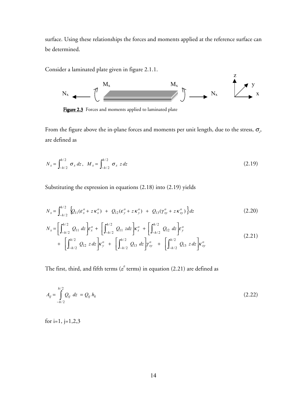surface. Using these relationships the forces and moments applied at the reference surface can be determined.

Consider a laminated plate given in figure 2.1.1.



Figure 2.3 Forces and moments applied to laminated plate

From the figure above the in-plane forces and moments per unit length, due to the stress,  $\sigma_{\!x\!}$ , are defined as

$$
N_x = \int_{-h/2}^{h/2} \sigma_x \, dz \,, \quad M_x = \int_{-h/2}^{h/2} \sigma_x \, z \, dz \tag{2.19}
$$

Substituting the expression in equations (2.18) into (2.19) yields

$$
N_x = \int_{-h/2}^{h/2} \left\{ Q_{11}(\varepsilon_x^o + z \kappa_x^o) + Q_{12}(\varepsilon_y^o + z \kappa_y^o) + Q_{13}(\gamma_{xy}^o + z \kappa_{xy}^o) \right\} dz
$$
 (2.20)

$$
N_x = \left[\int_{-h/2}^{h/2} Q_{11} dz\right] \varepsilon_x^o + \left[\int_{-h/2}^{h/2} Q_{11} z dz\right] \varepsilon_x^o + \left[\int_{-h/2}^{h/2} Q_{12} dz\right] \varepsilon_y^o
$$
  
+ 
$$
\left[\int_{-h/2}^{h/2} Q_{12} z dz\right] \varepsilon_y^o + \left[\int_{-h/2}^{h/2} Q_{13} dz\right] \gamma_{xy}^o + \left[\int_{-h/2}^{h/2} Q_{13} z dz\right] \varepsilon_{xy}^o
$$
 (2.21)

The first, third, and fifth terms ( $z^{\theta}$  terms) in equation (2.21) are defined as

$$
A_{ij} = \int_{-h/2}^{h/2} Q_{ij} \ dz = Q_{ij} \ h_k \tag{2.22}
$$

for i=1,  $j=1,2,3$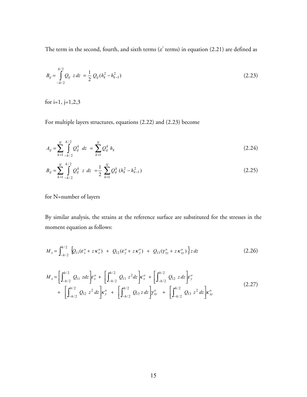The term in the second, fourth, and sixth terms ( $z^{\prime}$  terms) in equation (2.21) are defined as

$$
B_{ij} = \int_{-h/2}^{h/2} Q_{ij} \ z \, dz = \frac{1}{2} \ Q_{ij} (h_k^2 - h_{k-1}^2)
$$
 (2.23)

for i=1,  $j=1,2,3$ 

For multiple layers structures, equations (2.22) and (2.23) become

$$
A_{ij} = \sum_{k=1}^{N} \int_{-h/2}^{h/2} Q_{ij}^k dz = \sum_{k=1}^{N} Q_{ij}^k h_k
$$
 (2.24)

$$
B_{ij} = \sum_{k=1}^{N} \int_{-h/2}^{h/2} Q_{ij}^k \ z \ dz = \frac{1}{2} \sum_{k=1}^{N} Q_{ij}^k \left( h_k^2 - h_{k-1}^2 \right) \tag{2.25}
$$

for N=number of layers

By similar analysis, the strains at the reference surface are substituted for the stresses in the moment equation as follows:

$$
M_x = \int_{-h/2}^{h/2} \left\{ Q_{11}(\varepsilon_x^o + z \kappa_x^o) + Q_{12}(\varepsilon_y^o + z \kappa_y^o) + Q_{13}(\gamma_{xy}^o + z \kappa_{xy}^o) \right\} z \, dz \tag{2.26}
$$

$$
M_{x} = \left[\int_{-h/2}^{h/2} Q_{11} z dz\right] \varepsilon_{x}^{o} + \left[\int_{-h/2}^{h/2} Q_{11} z^{2} dz\right] \varepsilon_{x}^{o} + \left[\int_{-h/2}^{h/2} Q_{12} z dz\right] \varepsilon_{y}^{o} + \left[\int_{-h/2}^{h/2} Q_{13} z dz\right] \varepsilon_{y}^{o} + \left[\int_{-h/2}^{h/2} Q_{13} z^{2} dz\right] \varepsilon_{xy}^{o}
$$
\n(2.27)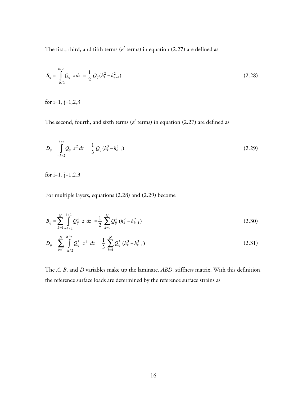The first, third, and fifth terms ( $z<sup>1</sup>$  terms) in equation (2.27) are defined as

$$
B_{ij} = \int_{-h/2}^{h/2} Q_{ij} \ z \, dz = \frac{1}{2} \ Q_{ij} (h_k^2 - h_{k-1}^2)
$$
 (2.28)

for i=1,  $j=1,2,3$ 

The second, fourth, and sixth terms ( $z^2$  terms) in equation (2.27) are defined as

$$
D_{ij} = \int_{-h/2}^{h/2} Q_{ij} z^2 dz = \frac{1}{3} Q_{ij} (h_k^3 - h_{k-1}^3)
$$
 (2.29)

for i=1,  $j=1,2,3$ 

For multiple layers, equations (2.28) and (2.29) become

$$
B_{ij} = \sum_{k=1}^{N} \int_{-h/2}^{h/2} Q_{ij}^k \ z \ dz = \frac{1}{2} \sum_{k=1}^{N} Q_{ij}^k (h_k^2 - h_{k-1}^2)
$$
 (2.30)

$$
D_{ij} = \sum_{k=1}^{N} \int_{-h/2}^{h/2} Q_{ij}^k z^2 dz = \frac{1}{3} \sum_{k=1}^{N} Q_{ij}^k (h_k^3 - h_{k-1}^3)
$$
 (2.31)

The *A*, *B*, and *D* variables make up the laminate, *ABD*, stiffness matrix. With this definition, the reference surface loads are determined by the reference surface strains as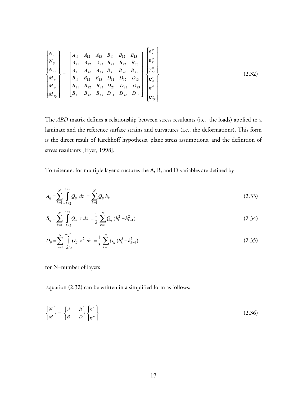$$
\begin{bmatrix}\nN_x \\
N_y \\
N_{xy} \\
M_x \\
M_y \\
M_y \\
M_y \\
M_y \\
M_{xy}\n\end{bmatrix} = \begin{bmatrix}\nA_{11} & A_{12} & A_{13} & B_{11} & B_{12} & B_{13} \\
A_{21} & A_{22} & A_{23} & B_{21} & B_{22} & B_{23} \\
A_{31} & A_{32} & A_{33} & B_{31} & B_{32} & B_{33} \\
B_{11} & B_{12} & B_{13} & D_{11} & D_{12} & D_{13} \\
B_{21} & B_{22} & B_{23} & D_{21} & D_{22} & D_{23} \\
B_{31} & B_{32} & B_{33} & D_{31} & D_{32} & D_{33}\n\end{bmatrix} \begin{bmatrix}\n\varepsilon_x^o \\
\varepsilon_y^o \\
\kappa_x^o \\
\kappa_x^o \\
\kappa_y^o \\
\kappa_x^o \\
\kappa_x^o \\
\kappa_x^o \\
\kappa_x^o\n\end{bmatrix}
$$
\n(2.32)

The *ABD* matrix defines a relationship between stress resultants (i.e., the loads) applied to a laminate and the reference surface strains and curvatures (i.e., the deformations). This form is the direct result of Kirchhoff hypothesis, plane stress assumptions, and the definition of stress resultants [Hyer, 1998].

To reiterate, for multiple layer structures the A, B, and D variables are defined by

$$
A_{ij} = \sum_{k=1}^{N} \int_{-h/2}^{h/2} Q_{ij} \ dz = \sum_{k=1}^{N} Q_{ij} \ h_k \tag{2.33}
$$

$$
B_{ij} = \sum_{k=1}^{N} \int_{-h/2}^{h/2} Q_{ij} \ z \ dz = \frac{1}{2} \sum_{k=1}^{N} Q_{ij} \left( h_k^2 - h_{k-1}^2 \right) \tag{2.34}
$$

$$
D_{ij} = \sum_{k=1}^{N} \int_{-h/2}^{h/2} Q_{ij} z^2 dz = \frac{1}{3} \sum_{k=1}^{N} Q_{ij} (h_k^3 - h_{k-1}^3)
$$
 (2.35)

for N=number of layers

Equation (2.32) can be written in a simplified form as follows:

$$
\begin{Bmatrix} N \\ M \end{Bmatrix} = \begin{Bmatrix} A & B \\ B & D \end{Bmatrix} \begin{Bmatrix} \varepsilon^o \\ \kappa^o \end{Bmatrix}
$$
 (2.36)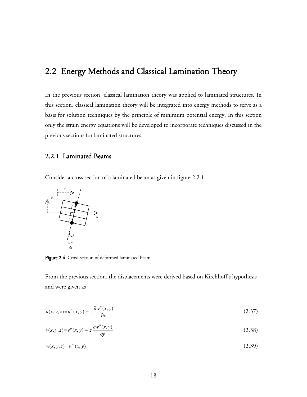## 2.2 Energy Methods and Classical Lamination Theory

In the previous section, classical lamination theory was applied to laminated structures. In this section, classical lamination theory will be integrated into energy methods to serve as a basis for solution techniques by the principle of minimum potential energy. In this section only the strain energy equations will be developed to incorporate techniques discussed in the previous sections for laminated structures.

#### 2.2.1 Laminated Beams

Consider a cross section of a laminated beam as given in figure 2.2.1.



Figure 2.4 Cross-section of deformed laminated beam

From the previous section, the displacements were derived based on Kirchhoff's hypothesis and were given as

$$
u(x, y, z) = u^o(x, y) - z \frac{\partial w^o(x, y)}{\partial x}
$$
\n(2.37)

$$
v(x, y, z) = vo(x, y) - z \frac{\partial wo(x, y)}{\partial y}
$$
 (2.38)

$$
w(x, y, z) = w^o(x, y) \tag{2.39}
$$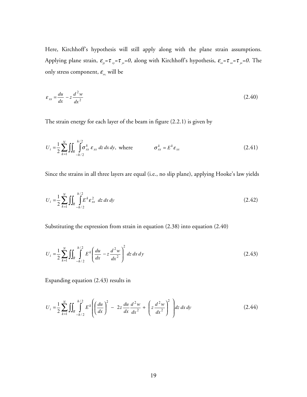Here, Kirchhoff's hypothesis will still apply along with the plane strain assumptions. Applying plane strain, ε*yy=*τ *xy=*τ *yz=0*, along with Kirchhoff's hypothesis, ε*zz=*τ *xz=*τ *yz=0*. The only stress component,  $\mathcal{E}_{\tiny \textsf{\tiny{xx}}}$  will be

$$
\varepsilon_{xx} = \frac{du}{dx} - z \frac{d^2 w}{dx^2} \tag{2.40}
$$

The strain energy for each layer of the beam in figure (2.2.1) is given by

$$
U_i = \frac{1}{2} \sum_{k=1}^{N} \iint_{R} \int_{-h/2}^{h/2} \sigma_{xx}^k \varepsilon_{xx} dz dx dy, \text{ where } \sigma_{xx}^k = E^k \varepsilon_{xx}
$$
 (2.41)

Since the strains in all three layers are equal (i.e., no slip plane), applying Hooke's law yields

$$
U_i = \frac{1}{2} \sum_{k=1}^{N} \iint_{R} \int_{-h/2}^{h/2} E^k \varepsilon_{xx}^2 \, dz \, dx \, dy \tag{2.42}
$$

Substituting the expression from strain in equation (2.38) into equation (2.40)

$$
U_i = \frac{1}{2} \sum_{k=1}^{N} \iint_{R} \int_{-h/2}^{h/2} E^k \left( \frac{du}{dx} - z \frac{d^2 w}{dx^2} \right)^2 dz dx dy
$$
 (2.43)

Expanding equation (2.43) results in

$$
U_i = \frac{1}{2} \sum_{k=1}^{N} \iint_{R} \int_{-h/2}^{h/2} E^k \left( \left( \frac{du}{dx} \right)^2 - 2z \frac{du}{dx} \frac{d^2 w}{dx^2} + \left( z \frac{d^2 w}{dx^2} \right)^2 \right) dz dx dy
$$
 (2.44)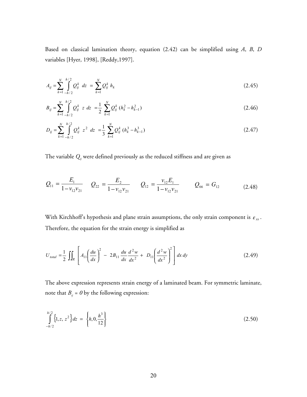Based on classical lamination theory, equation (2.42) can be simplified using *A*, *B*, *D* variables [Hyer, 1998], [Reddy,1997].

$$
A_{ij} = \sum_{k=1}^{N} \int_{-h/2}^{h/2} Q_{ij}^{k} dz = \sum_{k=1}^{N} Q_{ij}^{k} h_{k}
$$
 (2.45)

$$
B_{ij} = \sum_{k=1}^{N} \int_{-h/2}^{h/2} Q_{ij}^k \ z \ dz = \frac{1}{2} \sum_{k=1}^{N} Q_{ij}^k \left( h_k^2 - h_{k-1}^2 \right) \tag{2.46}
$$

$$
D_{ij} = \sum_{k=1}^{N} \int_{-h/2}^{h/2} Q_{ij}^k z^2 dz = \frac{1}{3} \sum_{k=1}^{N} Q_{ij}^k (h_k^3 - h_{k-1}^3)
$$
 (2.47)

The variable *Qij* were defined previously as the reduced stiffness and are given as

$$
Q_{11} = \frac{E_1}{1 - v_{12}v_{21}} \qquad Q_{22} = \frac{E_2}{1 - v_{12}v_{21}} \qquad Q_{12} = \frac{v_{12}E_1}{1 - v_{12}v_{21}} \qquad Q_{66} = G_{12} \qquad (2.48)
$$

With Kirchhoff's hypothesis and plane strain assumptions, the only strain component is  $\varepsilon_{xx}$ . Therefore, the equation for the strain energy is simplified as

$$
U_{total} = \frac{1}{2} \iint_{R} \left[ A_{11} \left( \frac{du}{dx} \right)^{2} - 2B_{11} \frac{du}{dx} \frac{d^{2}w}{dx^{2}} + D_{11} \left( \frac{d^{2}w}{dx^{2}} \right)^{2} \right] dx dy
$$
 (2.49)

The above expression represents strain energy of a laminated beam. For symmetric laminate, note that  $B_{ij}$  =  $\theta$  by the following expression:

$$
\int_{-h/2}^{h/2} \{1, z, z^2\} dz = \left\{ h, 0, \frac{h^3}{12} \right\} \tag{2.50}
$$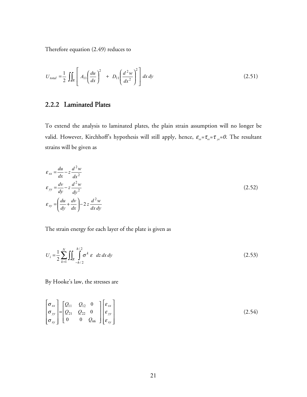Therefore equation (2.49) reduces to

$$
U_{total} = \frac{1}{2} \iint_{R} \left[ A_{11} \left( \frac{du}{dx} \right)^{2} + D_{11} \left( \frac{d^{2}w}{dx^{2}} \right)^{2} \right] dx dy
$$
 (2.51)

### 2.2.2 Laminated Plates

To extend the analysis to laminated plates, the plain strain assumption will no longer be valid. However, Kirchhoff's hypothesis will still apply, hence,  $\varepsilon_{zz} = \tau_{xz} = \tau_{yz} = 0$ . The resultant strains will be given as

$$
\varepsilon_{xx} = \frac{du}{dx} - z \frac{d^2 w}{dx^2}
$$
\n
$$
\varepsilon_{yy} = \frac{dv}{dy} - z \frac{d^2 w}{dy^2}
$$
\n
$$
\varepsilon_{xy} = \left(\frac{du}{dy} + \frac{dv}{dx}\right) - 2z \frac{d^2 w}{dx dy}
$$
\n(2.52)

The strain energy for each layer of the plate is given as

$$
U_i = \frac{1}{2} \sum_{k=1}^{N} \iint_{R} \int_{-h/2}^{h/2} \sigma^k \varepsilon \, dz \, dx \, dy \tag{2.53}
$$

By Hooke's law, the stresses are

$$
\begin{bmatrix} \sigma_{xx} \\ \sigma_{yy} \\ \sigma_{xy} \end{bmatrix} = \begin{bmatrix} Q_{11} & Q_{12} & 0 \\ Q_{21} & Q_{22} & 0 \\ 0 & 0 & Q_{66} \end{bmatrix} \begin{bmatrix} \varepsilon_{xx} \\ \varepsilon_{yy} \\ \varepsilon_{xy} \end{bmatrix} \tag{2.54}
$$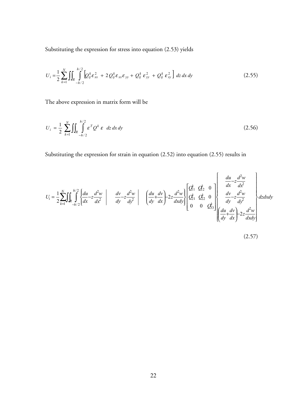Substituting the expression for stress into equation (2.53) yields

$$
U_{i} = \frac{1}{2} \sum_{k=1}^{N} \iint_{R} \int_{-h/2}^{h/2} \left[ Q_{ij}^{k} \varepsilon_{xx}^{2} + 2 Q_{ij}^{k} \varepsilon_{xx} \varepsilon_{yy} + Q_{ij}^{k} \varepsilon_{yy}^{2} + Q_{ij}^{k} \varepsilon_{xy}^{2} \right] dz dx dy
$$
 (2.55)

The above expression in matrix form will be

$$
U_i = \frac{1}{2} \sum_{k=1}^{N} \iint_{R} \int_{-h/2}^{h/2} \varepsilon^T Q^k \varepsilon \, dz \, dx \, dy \tag{2.56}
$$

Substituting the expression for strain in equation (2.52) into equation (2.55) results in

$$
U_i = \frac{1}{2} \sum_{k=1}^{N} \int \int_{\mathbb{R}} \int_{-h/2}^{h/2} \left\{ \frac{du}{dx} - z \frac{d^2w}{dx^2} \middle| \frac{dv}{dy} - z \frac{d^2w}{dy^2} \middle| \frac{du}{dy} + \frac{dv}{dx} \right\} = 2z \frac{d^2w}{dx dy} \left\{ \begin{bmatrix} Q_1^k & Q_2^k & 0 \\ Q_2^k & Q_2^k & 0 \\ 0 & 0 & Q_3^k \end{bmatrix} \right\} \begin{bmatrix} \frac{du}{dx} - z \frac{d^2w}{dx^2} \\ \frac{dv}{dy} - z \frac{d^2w}{dy^2} \\ \frac{du}{dy} + \frac{dv}{dx} \right\} = 2z \frac{d^2w}{dx dy}
$$

$$
(2.57)
$$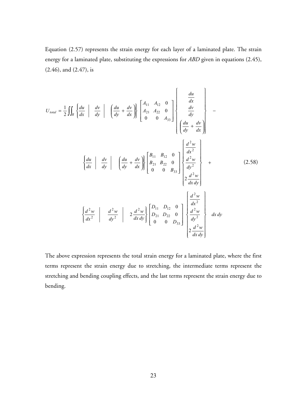Equation (2.57) represents the strain energy for each layer of a laminated plate. The strain energy for a laminated plate, substituting the expressions for *ABD* given in equations (2.45), (2.46), and (2.47), is

$$
U_{total} = \frac{1}{2} \iint_{R} \left\{ \frac{du}{dx} \middle| \frac{dv}{dy} \middle| \left\{ \frac{du}{dy} + \frac{dv}{dx} \right\} \right\} \left\{ \frac{A_{11}}{A_{21}} \frac{A_{12}}{A_{22}} \frac{0}{0} \right\} \left\{ \frac{du}{dy} \right\}
$$

$$
= \frac{du}{dy} \left\{ \frac{du}{dy} \middle| \frac{dv}{dy} \middle| \left\{ \frac{du}{dy} + \frac{dv}{dx} \right\} \right\} \left\{ \frac{B_{11}}{B_{21}} \frac{B_{12}}{B_{22}} \frac{0}{0} \right\} \left\{ \frac{d^2w}{dx^2} \right\}
$$

$$
= \frac{du}{dx} \left\{ \frac{dv}{dx} \middle| \frac{dv}{dy} \middle| \left\{ \frac{du}{dy} + \frac{dv}{dx} \right\} \right\} \left\{ \frac{B_{11}}{B_{21}} \frac{B_{12}}{B_{22}} \frac{0}{0} \right\} \left\{ \frac{d^2w}{dy^2} \right\} + \frac{2 \frac{d^2w}{dx dy}}{2 \frac{d^2w}{dx dy}} \left\{ \frac{D_{11}}{D_{21}} \frac{D_{12}}{D_{22}} \frac{0}{0} \right\} \left\{ \frac{d^2w}{dx^2} \right\}
$$

$$
= \frac{du}{dx^2} \left\{ \frac{d^2w}{dx^2} \right\} \left\{ \frac{d^2w}{dy^2} \right\} \left\{ \frac{d^2w}{dy^2} \right\} \left\{ \frac{d^2w}{dy^2} \right\} \left\{ \frac{d^2w}{dy^2} \right\}
$$

The above expression represents the total strain energy for a laminated plate, where the first terms represent the strain energy due to stretching, the intermediate terms represent the stretching and bending coupling effects, and the last terms represent the strain energy due to bending.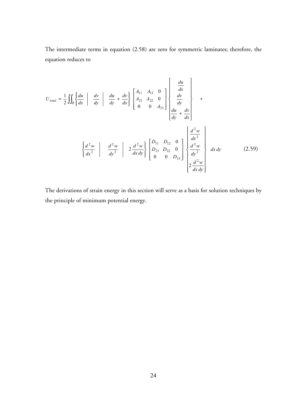The intermediate terms in equation (2.58) are zero for symmetric laminates; therefore, the equation reduces to

$$
U_{total} = \frac{1}{2} \iint_{R} \left\{ \frac{du}{dx} \middle| \frac{dv}{dy} \middle| \frac{du}{dy} + \frac{dv}{dx} \right\} \left[ \frac{A_{11}}{A_{21}} \frac{A_{12}}{A_{22}} \frac{0}{0} \right] \left\{ \frac{\frac{du}{dx}}{\frac{dv}{dy}} \right\} + \frac{dv}{dx} \left\{ \frac{du}{dy} + \frac{dv}{dx} \right\}
$$

$$
= \left\{ \frac{d^2w}{dx^2} \middle| \frac{d^2w}{dy^2} \middle| 2 \frac{d^2w}{dx dy} \right\} \left[ \frac{D_{11}}{D_{21}} \frac{D_{12}}{D_{22}} \frac{0}{0} \right] \left\{ \frac{\frac{d^2w}{dx^2}}{\frac{d^2w}{dy^2}} \right\} dx dy \qquad (2.59)
$$

The derivations of strain energy in this section will serve as a basis for solution techniques by the principle of minimum potential energy.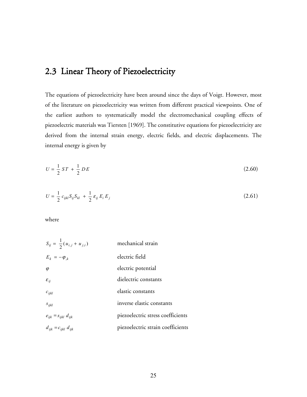## 2.3 Linear Theory of Piezoelectricity

The equations of piezoelectricity have been around since the days of Voigt. However, most of the literature on piezoelectricity was written from different practical viewpoints. One of the earliest authors to systematically model the electromechanical coupling effects of piezoelectric materials was Tiersten [1969]. The constitutive equations for piezoelectricity are derived from the internal strain energy, electric fields, and electric displacements. The internal energy is given by

$$
U = \frac{1}{2} ST + \frac{1}{2} DE \tag{2.60}
$$

$$
U = \frac{1}{2} c_{ijkl} S_{ij} S_{kl} + \frac{1}{2} \varepsilon_{ij} E_i E_j
$$
 (2.61)

where

| $S_{ij} = \frac{1}{2}(u_{i,j} + u_{j,i})$ | mechanical strain                 |
|-------------------------------------------|-----------------------------------|
| $E_k = -\varphi_{k}$                      | electric field                    |
| $\varphi$                                 | electric potential                |
| $\varepsilon_{ii}$                        | dielectric constants              |
| $c_{ijkl}$                                | elastic constants                 |
| $S_{ijkl}$                                | inverse elastic constants         |
| $e_{ijk} = s_{ijkl} d_{ijk}$              | piezoelectric stress coefficients |
| $d_{ijk} = c_{ijkl} d_{ijk}$              | piezoelectric strain coefficients |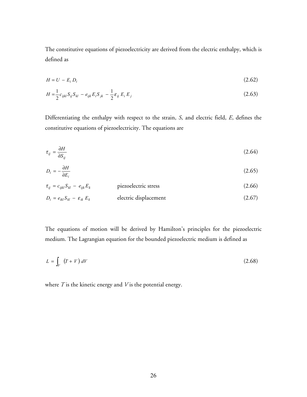The constitutive equations of piezoelectricity are derived from the electric enthalpy, which is defined as

$$
H = U - E_i D_i \tag{2.62}
$$

$$
H = \frac{1}{2} c_{ijkl} S_{ij} S_{kl} - e_{ijk} E_i S_{jk} - \frac{1}{2} \varepsilon_{ij} E_i E_j
$$
 (2.63)

Differentiating the enthalpy with respect to the strain, *S*, and electric field, *E*, defines the constitutive equations of piezoelectricity. The equations are

$$
\tau_{ij} = \frac{\partial H}{\partial S_{ij}} \tag{2.64}
$$

$$
D_i = -\frac{\partial H}{\partial E_i} \tag{2.65}
$$

$$
\tau_{ij} = c_{ijkl} S_{kl} - e_{ijk} E_k
$$
 piezoelectric stress (2.66)  

$$
D_i = e_{ikl} S_{kl} - \varepsilon_{ik} E_k
$$
 electric displacement (2.67)

The equations of motion will be derived by Hamilton's principles for the piezoelectric medium. The Lagrangian equation for the bounded piezoelectric medium is defined as

$$
L = \int_{V} (T + V) dV \tag{2.68}
$$

where *T* is the kinetic energy and *V* is the potential energy.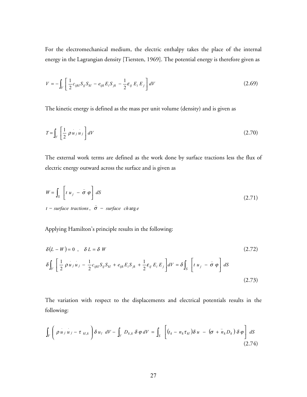For the electromechanical medium, the electric enthalpy takes the place of the internal energy in the Lagrangian density [Tiersten, 1969]. The potential energy is therefore given as

$$
V = -\int_{V} \left[ \frac{1}{2} c_{ijkl} S_{ij} S_{kl} - e_{ijk} E_{i} S_{jk} - \frac{1}{2} \varepsilon_{ij} E_{i} E_{j} \right] dV
$$
 (2.69)

The kinetic energy is defined as the mass per unit volume (density) and is given as

$$
T = \int_{V} \left[ \frac{1}{2} \rho u_j u_j \right] dV \tag{2.70}
$$

The external work terms are defined as the work done by surface tractions less the flux of electric energy outward across the surface and is given as

$$
W = \int_{S} \left[ t u_{j} - \bar{\sigma} \varphi \right] dS
$$
  
(2.71)  
 $t - surface \text{ fractions}, \ \bar{\sigma} - surface \text{ charge}$ 

Applying Hamilton's principle results in the following:

$$
\delta(L - W) = 0 \ , \quad \delta L = \delta W \tag{2.72}
$$
\n
$$
\delta \int_{V} \left[ \frac{1}{2} \rho u_{j} u_{j} - \frac{1}{2} c_{ijkl} S_{ij} S_{kl} + e_{ijk} E_{i} S_{jk} + \frac{1}{2} \varepsilon_{ij} E_{i} E_{j} \right] dV = \delta \int_{S} \left[ t u_{j} - \bar{\sigma} \varphi \right] dS \tag{2.73}
$$

The variation with respect to the displacements and electrical potentials results in the following:

$$
\int_{V} \left( \rho u_{j} u_{j} - \tau_{kl,k} \right) \delta u_{l} dV - \int_{V} D_{k,k} \delta \varphi dV = \int_{S} \left[ (t_{k} - n_{k} \tau_{kl}) \delta u - (\sigma + n_{k} D_{k}) \delta \varphi \right] dS
$$
\n(2.74)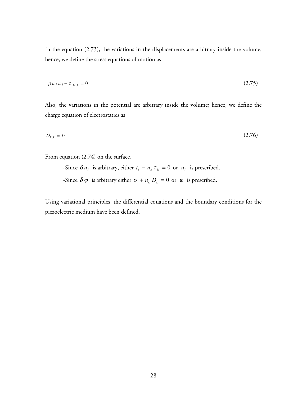In the equation (2.73), the variations in the displacements are arbitrary inside the volume; hence, we define the stress equations of motion as

$$
\rho u_j u_j - \tau_{kl,k} = 0 \tag{2.75}
$$

Also, the variations in the potential are arbitrary inside the volume; hence, we define the charge equation of electrostatics as

$$
D_{k,k} = 0 \tag{2.76}
$$

From equation (2.74) on the surface,

-Since  $\delta u_i$  is arbitrary, either  $t_i - n_k \tau_{kl} = 0$  or  $u_i$  is prescribed. -Since  $\delta \varphi$  is arbitrary either  $\sigma + n_k D_k = 0$  or  $\varphi$  is prescribed.

Using variational principles, the differential equations and the boundary conditions for the piezoelectric medium have been defined.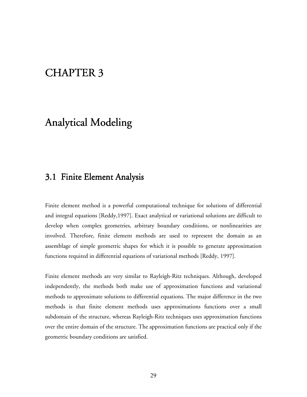# **CHAPTER 3**

# Analytical Modeling

### 3.1 Finite Element Analysis

Finite element method is a powerful computational technique for solutions of differential and integral equations [Reddy,1997]. Exact analytical or variational solutions are difficult to develop when complex geometries, arbitrary boundary conditions, or nonlinearities are involved. Therefore, finite element methods are used to represent the domain as an assemblage of simple geometric shapes for which it is possible to generate approximation functions required in differential equations of variational methods [Reddy, 1997].

Finite element methods are very similar to Rayleigh-Ritz techniques. Although, developed independently, the methods both make use of approximation functions and variational methods to approximate solutions to differential equations. The major difference in the two methods is that finite element methods uses approximations functions over a small subdomain of the structure, whereas Rayleigh-Ritz techniques uses approximation functions over the entire domain of the structure. The approximation functions are practical only if the geometric boundary conditions are satisfied.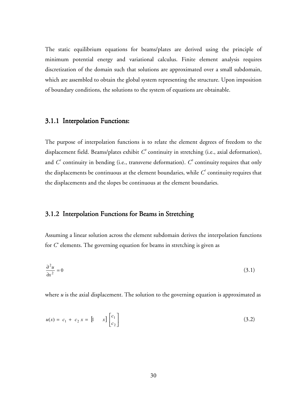The static equilibrium equations for beams/plates are derived using the principle of minimum potential energy and variational calculus. Finite element analysis requires discretization of the domain such that solutions are approximated over a small subdomain, which are assembled to obtain the global system representing the structure. Upon imposition of boundary conditions, the solutions to the system of equations are obtainable.

#### 3.1.1 Interpolation Functions:

The purpose of interpolation functions is to relate the element degrees of freedom to the displacement field. Beams/plates exhibit  $C^o$  continuity in stretching (i.e., axial deformation), and  $C'$  continuity in bending (i.e., transverse deformation).  $C'$  continuity requires that only the displacements be continuous at the element boundaries, while  $C^{\prime}$  continuity requires that the displacements and the slopes be continuous at the element boundaries.

#### 3.1.2 Interpolation Functions for Beams in Stretching

Assuming a linear solution across the element subdomain derives the interpolation functions for *C*<sup>o</sup> elements. The governing equation for beams in stretching is given as

$$
\frac{\partial^2 u}{\partial x^2} = 0\tag{3.1}
$$

where *u* is the axial displacement. The solution to the governing equation is approximated as

$$
u(x) = c_1 + c_2 x = [1 \quad x] \begin{bmatrix} c_1 \\ c_2 \end{bmatrix}
$$
 (3.2)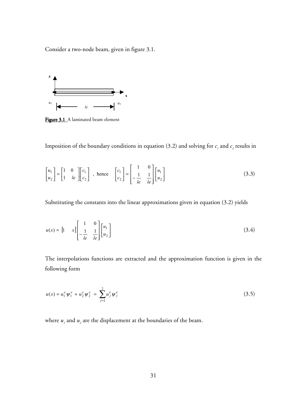Consider a two-node beam, given in figure 3.1.



Figure 3.1 A laminated beam element

Imposition of the boundary conditions in equation (3.2) and solving for  $c_1$  and  $c_2$  results in

$$
\begin{bmatrix} u_1 \\ u_2 \end{bmatrix} = \begin{bmatrix} 1 & 0 \\ 1 & le \end{bmatrix} \begin{bmatrix} c_1 \\ c_2 \end{bmatrix} , \text{ hence } \begin{bmatrix} c_1 \\ c_2 \end{bmatrix} = \begin{bmatrix} 1 & 0 \\ -\frac{1}{le} & \frac{1}{le} \end{bmatrix} \begin{bmatrix} u_1 \\ u_2 \end{bmatrix}
$$
 (3.3)

Substituting the constants into the linear approximations given in equation (3.2) yields

$$
u(x) = \begin{bmatrix} 1 & x \end{bmatrix} \begin{bmatrix} 1 & 0 \\ -\frac{1}{le} & \frac{1}{le} \end{bmatrix} \begin{bmatrix} u_1 \\ u_2 \end{bmatrix}
$$
 (3.4)

The interpolations functions are extracted and the approximation function is given in the following form

$$
u(x) = u_1^e \psi_1^e + u_2^e \psi_2^e = \sum_{j=1}^2 u_j^e \psi_j^e
$$
 (3.5)

where  $u_1$  and  $u_2$  are the displacement at the boundaries of the beam.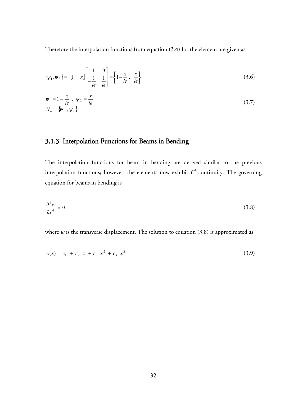Therefore the interpolation functions from equation (3.4) for the element are given as

$$
\{\psi_1, \psi_2\} = \begin{bmatrix} 1 & x \end{bmatrix} \begin{bmatrix} 1 & 0 \\ -\frac{1}{le} & \frac{1}{le} \end{bmatrix} = \begin{Bmatrix} 1 - \frac{x}{le} & \frac{x}{le} \end{Bmatrix}
$$
 (3.6)

$$
\Psi_1 = 1 - \frac{x}{le}, \quad \Psi_2 = \frac{x}{le} \nN_a = {\psi_1, \psi_2}
$$
\n(3.7)

### 3.1.3 Interpolation Functions for Beams in Bending

The interpolation functions for beam in bending are derived similar to the previous interpolation functions; however, the elements now exhibit  $C'$  continuity. The governing equation for beams in bending is

$$
\frac{\partial^4 w}{\partial x^4} = 0 \tag{3.8}
$$

where  $w$  is the transverse displacement. The solution to equation  $(3.8)$  is approximated as

$$
w(x) = c_1 + c_2 x + c_3 x^2 + c_4 x^3 \tag{3.9}
$$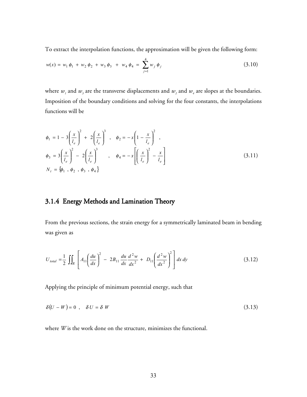To extract the interpolation functions, the approximation will be given the following form:

$$
w(x) = w_1 \phi_1 + w_2 \phi_2 + w_3 \phi_3 + w_4 \phi_4 = \sum_{j=1}^{4} w_j \phi_j
$$
 (3.10)

where  $w_1$  and  $w_3$  are the transverse displacements and  $w_2$  and  $w_4$  are slopes at the boundaries. Imposition of the boundary conditions and solving for the four constants, the interpolations functions will be

$$
\phi_1 = 1 - 3\left(\frac{x}{l_e}\right)^2 + 2\left(\frac{x}{l_e}\right)^3, \quad \phi_2 = -x\left(1 - \frac{x}{l_e}\right)^2,
$$
  
\n
$$
\phi_3 = 3\left(\frac{x}{l_e}\right)^2 - 2\left(\frac{x}{l_e}\right)^3, \quad \phi_4 = -x\left[\left(\frac{x}{l_e}\right)^2 - \frac{x}{l_e}\right]
$$
  
\n
$$
N_t = \{\phi_1, \phi_2, \phi_3, \phi_4\}
$$
\n(3.11)

### 3.1.4 Energy Methods and Lamination Theory

From the previous sections, the strain energy for a symmetrically laminated beam in bending was given as

$$
U_{\text{total}} = \frac{1}{2} \iint_{R} \left[ A_{11} \left( \frac{du}{dx} \right)^{2} - 2B_{11} \frac{du}{dx} \frac{d^{2}w}{dx^{2}} + D_{11} \left( \frac{d^{2}w}{dx^{2}} \right)^{2} \right] dx dy
$$
 (3.12)

Applying the principle of minimum potential energy, such that

$$
\delta(U - W) = 0 \quad \delta U = \delta W \tag{3.13}
$$

where *W* is the work done on the structure, minimizes the functional.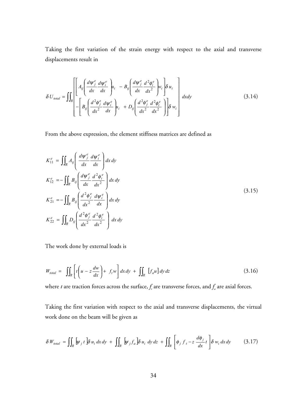Taking the first variation of the strain energy with respect to the axial and transverse displacements result in

$$
\delta U_{total} = \iint_{R} \left[ A_{ij} \left( \frac{d\psi_{j}^{e}}{dx} \frac{d\psi_{i}^{e}}{dx} \right) u_{i} - B_{ij} \left( \frac{d\psi_{j}^{e}}{dx} \frac{d^{2} \phi_{i}^{e}}{dx^{2}} \right) w_{i} \right] \delta u_{i} \right] dxdy
$$
\n
$$
- \left[ B_{ij} \left( \frac{d^{2} \phi_{j}^{e}}{dx^{2}} \frac{d\psi_{i}^{e}}{dx} \right) u_{i} + D_{ij} \left( \frac{d^{2} \phi_{j}^{e}}{dx^{2}} \frac{d^{2} \phi_{i}^{e}}{dx^{2}} \right) \right] \delta w_{i} \right]
$$
\n(3.14)

From the above expression, the element stiffness matrices are defined as

$$
K_{11}^{e} = \iint_{R} A_{ij} \left( \frac{d\psi_{j}^{e}}{dx} \frac{d\psi_{i}^{e}}{dx} \right) dx dy
$$
  
\n
$$
K_{12}^{e} = -\iint_{R} B_{ij} \left( \frac{d\psi_{j}^{e}}{dx} \frac{d^{2} \phi_{i}^{e}}{dx^{2}} \right) dx dy
$$
  
\n
$$
K_{21}^{e} = -\iint_{R} B_{ij} \left( \frac{d^{2} \phi_{j}^{e}}{dx^{2}} \frac{d\psi_{i}^{e}}{dx} \right) dx dy
$$
  
\n
$$
K_{22}^{e} = \iint_{R} D_{ij} \left( \frac{d^{2} \phi_{j}^{e}}{dx^{2}} \frac{d^{2} \phi_{i}^{e}}{dx^{2}} \right) dx dy
$$
  
\n(3.15)

The work done by external loads is

$$
W_{total} = \iint_{R} \left[ t \left( u - z \frac{dw}{dx} \right) + f_{t} w \right] dx dy + \iint_{R} \left[ f_{a} u \right] dy dz \tag{3.16}
$$

where *t* are traction forces across the surface,  $f_{i}$  are transverse forces, and  $f_{a}$  are axial forces.

Taking the first variation with respect to the axial and transverse displacements, the virtual work done on the beam will be given as

$$
\delta W_{total} = \iint_{R} \left[ \psi_{j} t \right] \delta u_{i} dx dy + \iint_{R} \left[ \psi_{j} f_{a} \right] \delta u_{i} dy dz + \iint_{R} \left[ \phi_{j} f_{t} - z \frac{d \phi_{j}}{dx} t \right] \delta w_{i} dx dy \tag{3.17}
$$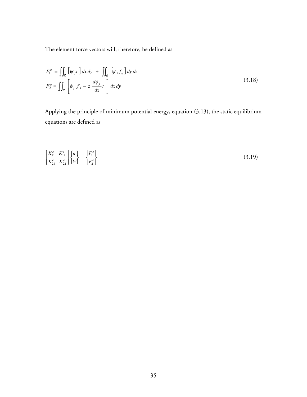The element force vectors will, therefore, be defined as

$$
F_1^e = \iint_R \left[ \psi_j t \right] dx \, dy + \iint_R \left[ \psi_j f_a \right] dy \, dz
$$
\n
$$
F_2^e = \iint_R \left[ \phi_j f_t - z \, \frac{d\phi_j}{dx} t \right] dx \, dy \tag{3.18}
$$

Applying the principle of minimum potential energy, equation (3.13), the static equilibrium equations are defined as

$$
\begin{bmatrix}\nK_{11}^e & K_{12}^e \\
K_{21}^e & K_{22}^e\n\end{bmatrix}\n\begin{bmatrix}\nu \\ w\n\end{bmatrix} =\n\begin{Bmatrix}\nF_1^e \\
F_2^e\n\end{Bmatrix}
$$
\n(3.19)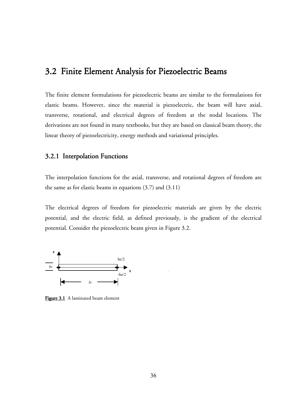### 3.2 Finite Element Analysis for Piezoelectric Beams

The finite element formulations for piezoelectric beams are similar to the formulations for elastic beams. However, since the material is piezoelectric, the beam will have axial, transverse, rotational, and electrical degrees of freedom at the nodal locations. The derivations are not found in many textbooks, but they are based on classical beam theory, the linear theory of piezoelectricity, energy methods and variational principles.

#### 3.2.1 Interpolation Functions

The interpolation functions for the axial, transverse, and rotational degrees of freedom are the same as for elastic beams in equations  $(3.7)$  and  $(3.11)$ 

The electrical degrees of freedom for piezoelectric materials are given by the electric potential, and the electric field, as defined previously, is the gradient of the electrical potential. Consider the piezoelectric beam given in Figure 3.2.



Figure 3.1 A laminated beam element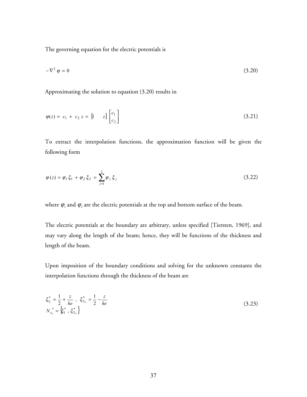The governing equation for the electric potentials is

$$
-\nabla^2 \varphi = 0 \tag{3.20}
$$

Approximating the solution to equation (3.20) results in

$$
\varphi(z) = c_1 + c_2 z = \begin{bmatrix} 1 & z \end{bmatrix} \begin{bmatrix} c_1 \\ c_2 \end{bmatrix} \tag{3.21}
$$

To extract the interpolation functions, the approximation function will be given the following form

$$
\varphi(z) = \varphi_1 \xi_1 + \varphi_2 \xi_2 = \sum_{j=1}^2 \varphi_j \xi_j
$$
\n(3.22)

where  $\varphi$ <sub>*l*</sub> and  $\varphi$ <sub>2</sub> are the electric potentials at the top and bottom surface of the beam.

The electric potentials at the boundary are arbitrary, unless specified [Tiersten, 1969], and may vary along the length of the beam; hence, they will be functions of the thickness and length of the beam.

Upon imposition of the boundary conditions and solving for the unknown constants the interpolation functions through the thickness of the beam are

$$
\xi_{1_1}^* = \frac{1}{2} + \frac{z}{he}, \quad \xi_{2_2}^* = \frac{1}{2} - \frac{z}{he}
$$
\n
$$
N_{e_e}^* = \{\xi_1^*, \xi_{2_2}^*\}
$$
\n(3.23)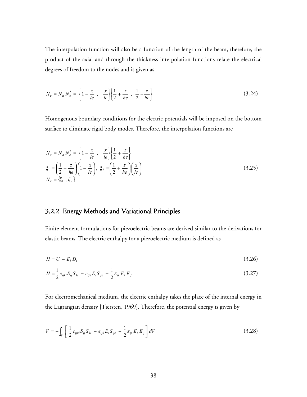The interpolation function will also be a function of the length of the beam, therefore, the product of the axial and through the thickness interpolation functions relate the electrical degrees of freedom to the nodes and is given as

$$
N_e = N_a N_e^* = \left\{ 1 - \frac{x}{le} , \frac{x}{le} \right\} \left\{ \frac{1}{2} + \frac{z}{he} , \frac{1}{2} - \frac{z}{he} \right\}
$$
(3.24)

Homogenous boundary conditions for the electric potentials will be imposed on the bottom surface to eliminate rigid body modes. Therefore, the interpolation functions are

$$
N_e = N_a N_e^* = \left\{ 1 - \frac{x}{le} , \frac{x}{le} \right\} \left\{ \frac{1}{2} + \frac{z}{he} \right\}
$$
  
\n
$$
\xi_1 = \left( \frac{1}{2} + \frac{z}{he} \right) \left( 1 - \frac{x}{le} \right), \xi_2 = \left( \frac{1}{2} + \frac{z}{he} \right) \left( \frac{x}{le} \right)
$$
  
\n
$$
N_e = \left\{ \xi_1, \xi_2 \right\}
$$
\n(3.25)

#### 3.2.2 Energy Methods and Variational Principles

Finite element formulations for piezoelectric beams are derived similar to the derivations for elastic beams. The electric enthalpy for a piezoelectric medium is defined as

$$
H = U - E_i D_i \tag{3.26}
$$

$$
H = \frac{1}{2} c_{ijkl} S_{ij} S_{kl} - e_{ijk} E_i S_{jk} - \frac{1}{2} \varepsilon_{ij} E_i E_j
$$
\n(3.27)

For electromechanical medium, the electric enthalpy takes the place of the internal energy in the Lagrangian density [Tiersten, 1969]. Therefore, the potential energy is given by

$$
V = -\int_{V} \left[ \frac{1}{2} c_{ijkl} S_{ij} S_{kl} - e_{ijk} E_{i} S_{jk} - \frac{1}{2} \varepsilon_{ij} E_{i} E_{j} \right] dV
$$
 (3.28)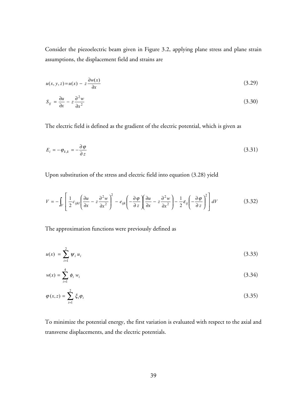Consider the piezoelectric beam given in Figure 3.2, applying plane stress and plane strain assumptions, the displacement field and strains are

$$
u(x, y, z) = u(x) - z \frac{\partial w(x)}{\partial x}
$$
\n(3.29)

$$
S_{ij} = \frac{\partial u}{\partial x} - z \frac{\partial^2 w}{\partial x^2} \tag{3.30}
$$

The electric field is defined as the gradient of the electric potential, which is given as

$$
E_i = -\varphi_{k,k} = -\frac{\partial \varphi}{\partial z} \tag{3.31}
$$

Upon substitution of the stress and electric field into equation (3.28) yield

$$
V = -\int_{V} \left[ \frac{1}{2} c_{ijkl} \left( \frac{\partial u}{\partial x} - z \frac{\partial^2 w}{\partial x^2} \right)^2 - e_{ijk} \left( -\frac{\partial \varphi}{\partial z} \right) \left( \frac{\partial u}{\partial x} - z \frac{\partial^2 w}{\partial x^2} \right) - \frac{1}{2} \varepsilon_{ij} \left( -\frac{\partial \varphi}{\partial z} \right)^2 \right] dV
$$
(3.32)

The approximation functions were previously defined as

$$
u(x) = \sum_{i=1}^{2} \psi_i u_i \tag{3.33}
$$

$$
w(x) = \sum_{i=1}^{4} \phi_i w_i \tag{3.34}
$$

$$
\varphi(x,z) = \sum_{i=1}^{2} \xi_i \varphi_i \tag{3.35}
$$

To minimize the potential energy, the first variation is evaluated with respect to the axial and transverse displacements, and the electric potentials.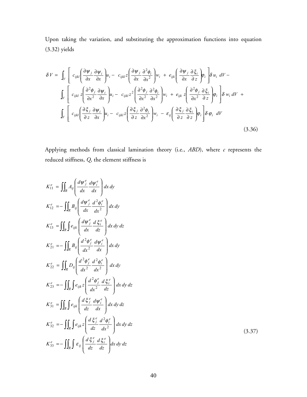Upon taking the variation, and substituting the approximation functions into equation (3.32) yields

$$
\delta V = \int_{V} \left[ c_{ijkl} \left( \frac{\partial \psi_{j}}{\partial x} \frac{\partial \psi_{i}}{\partial x} \right) u_{i} - c_{ijkl} z \left( \frac{\partial \psi_{j}}{\partial x} \frac{\partial^{2} \phi_{i}}{\partial x^{2}} \right) w_{i} + e_{ijk} \left( \frac{\partial \psi_{j}}{\partial x} \frac{\partial \xi_{i}}{\partial z} \right) \rho_{i} \right] \delta u_{i} \ dV - \int_{V} \left[ c_{ijkl} z \left( \frac{\partial^{2} \phi_{j}}{\partial x^{2}} \frac{\partial \psi_{i}}{\partial x} \right) u_{i} - c_{ijkl} z^{2} \left( \frac{\partial^{2} \phi_{j}}{\partial x^{2}} \frac{\partial^{2} \phi_{i}}{\partial x^{2}} \right) w_{i} + e_{ijk} z \left( \frac{\partial^{2} \phi_{j}}{\partial x^{2}} \frac{\partial \xi_{i}}{\partial z} \right) \phi_{i} \right] \delta w_{i} \ dV + \int_{V} \left[ c_{ijkl} \left( \frac{\partial \xi_{j}}{\partial z} \frac{\partial \psi_{i}}{\partial x} \right) u_{i} - c_{ijkl} z \left( \frac{\partial \xi_{j}}{\partial z} \frac{\partial^{2} \phi_{i}}{\partial x^{2}} \right) w_{i} - \varepsilon_{ij} \left( \frac{\partial \xi_{j}}{\partial z} \frac{\partial \xi_{i}}{\partial z} \right) \phi_{i} \right] \delta \phi_{i} \ dV \right]
$$
\n(3.36)

Applying methods from classical lamination theory (i.e., *ABD*), where *c* represents the reduced stiffness, *Q*, the element stiffness is

$$
K_{11}^{e} = \iint_{R} A_{ij} \left( \frac{d\psi_{j}^{e}}{dx} \frac{d\psi_{i}^{e}}{dx} \right) dx dy
$$
  
\n
$$
K_{12}^{e} = -\iint_{R} B_{ij} \left( \frac{d\psi_{j}^{e}}{dx} \frac{d^{2} \phi_{i}^{e}}{dx^{2}} \right) dx dy
$$
  
\n
$$
K_{13}^{e} = \iint_{R} e_{ijk} \left( \frac{d\psi_{j}^{e}}{dx} \frac{d \xi_{i}^{e}}{dz} \right) dx dy dz
$$
  
\n
$$
K_{21}^{e} = -\iint_{R} B_{ij} \left( \frac{d^{2} \phi_{j}^{e}}{dx^{2}} \frac{d\psi_{i}^{e}}{dx} \right) dx dy
$$
  
\n
$$
K_{22}^{e} = \iint_{R} D_{ij} \left( \frac{d^{2} \phi_{j}^{e}}{dx^{2}} \frac{d^{2} \phi_{i}^{e}}{dx^{2}} \right) dx dy
$$
  
\n
$$
K_{23}^{e} = -\iint_{R} \int e_{ijk} z \left( \frac{d^{2} \phi_{j}^{e}}{dx^{2}} \frac{d \xi_{i}^{e}}{dx} \right) dx dy dz
$$
  
\n
$$
K_{31}^{e} = \iint_{R} \int e_{ijk} \left( \frac{d \xi_{j}^{e}}{dz} \frac{d \psi_{i}^{e}}{dx} \right) dx dy dz
$$
  
\n
$$
K_{32}^{e} = -\iint_{R} \int e_{ijk} z \left( \frac{d \xi_{j}^{e}}{dz} \frac{d^{2} \phi_{i}^{e}}{dx^{2}} \right) dx dy dz
$$
  
\n
$$
K_{33}^{e} = -\iint_{R} \int e_{ij} \left( \frac{d \xi_{j}^{e}}{dz} \frac{d \xi_{i}^{e}}{dx} \right) dx dy dz
$$

(3.37)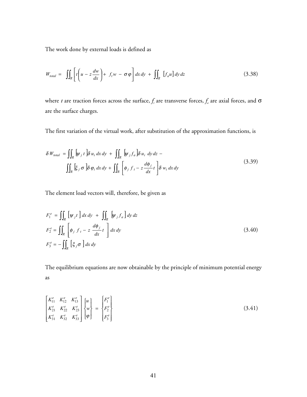The work done by external loads is defined as

$$
W_{total} = \iint_{R} \left[ t \left( u - z \frac{dw}{dx} \right) + f_t w - \sigma \varphi \right] dx dy + \iint_{R} \left[ f_a u \right] dy dz \tag{3.38}
$$

where *t* are traction forces across the surface,  $f_{\scriptscriptstyle{t}}$  are transverse forces,  $f_{\scriptscriptstyle{a}}$  are axial forces, and  $\sigma$ are the surface charges.

The first variation of the virtual work, after substitution of the approximation functions, is

$$
\delta W_{total} = \iint_{R} \left[ \psi_{j} t \right] \delta u_{i} dx dy + \iint_{R} \left[ \psi_{j} f_{a} \right] \delta u_{i} dy dz -
$$
\n
$$
\iint_{R} \left[ \xi_{j} \sigma \right] \delta \varphi_{i} dx dy + \iint_{R} \left[ \phi_{j} f_{t} - z \frac{d\phi_{j}}{dx} t \right] \delta w_{i} dx dy \tag{3.39}
$$

The element load vectors will, therefore, be given as

$$
F_1^e = \iint_R \left[ \psi_j t \right] dx dy + \iint_R \left[ \psi_j f_a \right] dy dz
$$
  
\n
$$
F_2^e = \iint_R \left[ \phi_j f_t - z \frac{d\phi_j}{dx} t \right] dx dy
$$
  
\n
$$
F_3^e = - \iint_R \left[ \xi_j \sigma \right] dx dy
$$
\n(3.40)

The equilibrium equations are now obtainable by the principle of minimum potential energy as

$$
\begin{bmatrix}\nK_{11}^e & K_{12}^e & K_{13}^e \\
K_{21}^e & K_{22}^e & K_{23}^e \\
K_{31}^e & K_{32}^e & K_{33}^e\n\end{bmatrix}\n\begin{bmatrix}\nu \\ w \\ \varphi \end{bmatrix} = \n\begin{bmatrix}\nF_1^e \\
F_2^e \\
F_3^e\n\end{bmatrix}
$$
\n(3.41)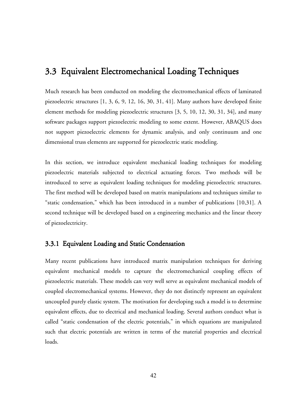## 3.3 Equivalent Electromechanical Loading Techniques

Much research has been conducted on modeling the electromechanical effects of laminated piezoelectric structures [1, 3, 6, 9, 12, 16, 30, 31, 41]. Many authors have developed finite element methods for modeling piezoelectric structures [3, 5, 10, 12, 30, 31, 34], and many software packages support piezoelectric modeling to some extent. However, ABAQUS does not support piezoelectric elements for dynamic analysis, and only continuum and one dimensional truss elements are supported for piezoelectric static modeling.

In this section, we introduce equivalent mechanical loading techniques for modeling piezoelectric materials subjected to electrical actuating forces. Two methods will be introduced to serve as equivalent loading techniques for modeling piezoelectric structures. The first method will be developed based on matrix manipulations and techniques similar to "static condensation," which has been introduced in a number of publications [10,31]. A second technique will be developed based on a engineering mechanics and the linear theory of piezoelectricity.

#### 3.3.1 Equivalent Loading and Static Condensation

Many recent publications have introduced matrix manipulation techniques for deriving equivalent mechanical models to capture the electromechanical coupling effects of piezoelectric materials. These models can very well serve as equivalent mechanical models of coupled electromechanical systems. However, they do not distinctly represent an equivalent uncoupled purely elastic system. The motivation for developing such a model is to determine equivalent effects, due to electrical and mechanical loading. Several authors conduct what is called "static condensation of the electric potentials," in which equations are manipulated such that electric potentials are written in terms of the material properties and electrical loads.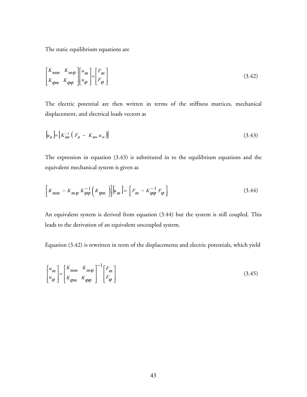The static equilibrium equations are

$$
\begin{bmatrix} K_{mm} & K_{m\varphi} \\ K_{\varphi m} & K_{\varphi\varphi} \end{bmatrix} \begin{bmatrix} u_m \\ u_{\varphi} \end{bmatrix} = \begin{bmatrix} F_m \\ F_{\varphi} \end{bmatrix}
$$
 (3.42)

The electric potential are then written in terms of the stiffness matrices, mechanical displacement, and electrical loads vectors as

$$
\left[u_{\varphi}\right] = \left[K_{\varphi\varphi}^{-1}\left(F_{\varphi} - K_{\varphi m}u_{m}\right)\right]
$$
\n
$$
(3.43)
$$

The expression in equation (3.43) is substituted in to the equilibrium equations and the equivalent mechanical system is given as

$$
\left[K_{mm} - K_{m\varphi} K_{\varphi\varphi}^{-1} \left(K_{\varphi m}\right)\right] \left[u_m\right] = \left[F_m - K_{\varphi\varphi}^{-1} F_{\varphi}\right] \tag{3.44}
$$

An equivalent system is derived from equation (3.44) but the system is still coupled. This leads to the derivation of an equivalent uncoupled system.

Equation (3.42) is rewritten in term of the displacements and electric potentials, which yield

$$
\begin{bmatrix} u_m \\ u_\varphi \end{bmatrix} = \begin{bmatrix} K_{mm} & K_{m\varphi} \\ K_{\varphi m} & K_{\varphi\varphi} \end{bmatrix}^{-1} \begin{bmatrix} F_m \\ F_\varphi \end{bmatrix} \tag{3.45}
$$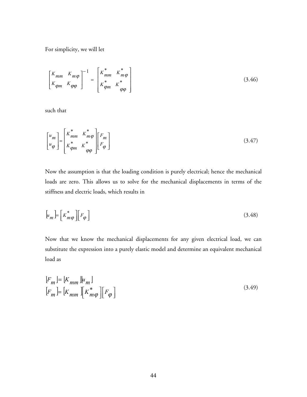For simplicity, we will let

$$
\begin{bmatrix} K_{mm} & K_{m\varphi} \\ K_{\varphi m} & K_{\varphi\varphi} \end{bmatrix}^{-1} = \begin{bmatrix} K_{mm}^* & K_{m\varphi}^* \\ K_{\varphi m}^* & K_{\varphi\varphi}^* \end{bmatrix}
$$
(3.46)

such that

$$
\begin{bmatrix} u_m \\ u_\varphi \end{bmatrix} = \begin{bmatrix} K_{mm}^* & K_{m\varphi}^* \\ K_{\varphi m}^* & K_{\varphi\varphi}^* \end{bmatrix} \begin{bmatrix} F_m \\ F_\varphi \end{bmatrix}
$$
 (3.47)

Now the assumption is that the loading condition is purely electrical; hence the mechanical loads are zero. This allows us to solve for the mechanical displacements in terms of the stiffness and electric loads, which results in

$$
\left[ u_m \right] = \left[ K_m^* \varphi \right] \left[ F_{\varphi} \right] \tag{3.48}
$$

Now that we know the mechanical displacements for any given electrical load, we can substitute the expression into a purely elastic model and determine an equivalent mechanical load as

$$
[F_m] = [K_{mm}][u_m]
$$
  

$$
[F_m] = [K_{mm}][K_{m\varphi}^*][F_{\varphi}]
$$
 (3.49)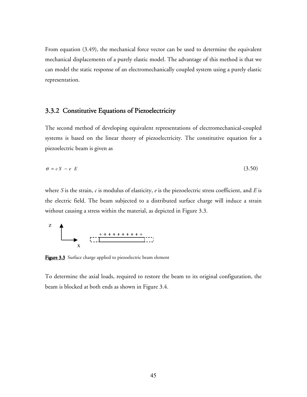From equation (3.49), the mechanical force vector can be used to determine the equivalent mechanical displacements of a purely elastic model. The advantage of this method is that we can model the static response of an electromechanically coupled system using a purely elastic representation.

### 3.3.2 Constitutive Equations of Piezoelectricity

The second method of developing equivalent representations of electromechanical-coupled systems is based on the linear theory of piezoelectricity. The constitutive equation for a piezoelectric beam is given as

$$
\sigma = c \, S - e \, E \tag{3.50}
$$

where *S* is the strain, *c* is modulus of elasticity, *e* is the piezoelectric stress coefficient, and *E* is the electric field. The beam subjected to a distributed surface charge will induce a strain without causing a stress within the material, as depicted in Figure 3.3.



Figure 3.3 Surface charge applied to piezoelectric beam element

To determine the axial loads, required to restore the beam to its original configuration, the beam is blocked at both ends as shown in Figure 3.4.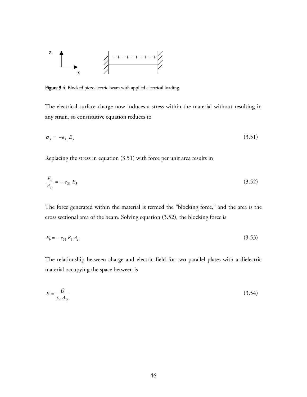

Figure 3.4 Blocked piezoelectric beam with applied electrical loading

The electrical surface charge now induces a stress within the material without resulting in any strain, so constitutive equation reduces to

$$
\sigma_x = -e_{31}E_3 \tag{3.51}
$$

Replacing the stress in equation (3.51) with force per unit area results in

$$
\frac{F_b}{A_{zy}} = -e_{31} E_3 \tag{3.52}
$$

The force generated within the material is termed the "blocking force," and the area is the cross sectional area of the beam. Solving equation (3.52), the blocking force is

$$
F_b = -e_{31} E_3 A_{zy} \tag{3.53}
$$

The relationship between charge and electric field for two parallel plates with a dielectric material occupying the space between is

$$
E = \frac{Q}{\kappa_o A_{xy}}
$$
 (3.54)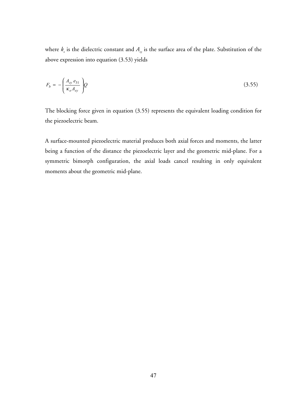where  $k_{\rho}$  is the dielectric constant and  $A_{xy}$  is the surface area of the plate. Substitution of the above expression into equation (3.53) yields

$$
F_b = -\left(\frac{A_{zy}e_{31}}{\kappa_o A_{xy}}\right)Q\tag{3.55}
$$

The blocking force given in equation (3.55) represents the equivalent loading condition for the piezoelectric beam.

A surface-mounted piezoelectric material produces both axial forces and moments, the latter being a function of the distance the piezoelectric layer and the geometric mid-plane. For a symmetric bimorph configuration, the axial loads cancel resulting in only equivalent moments about the geometric mid-plane.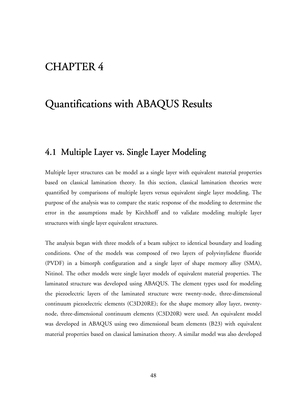## CHAPTER 4

# Quantifications with ABAQUS Results

### 4.1 Multiple Layer vs. Single Layer Modeling

Multiple layer structures can be model as a single layer with equivalent material properties based on classical lamination theory. In this section, classical lamination theories were quantified by comparisons of multiple layers versus equivalent single layer modeling. The purpose of the analysis was to compare the static response of the modeling to determine the error in the assumptions made by Kirchhoff and to validate modeling multiple layer structures with single layer equivalent structures.

The analysis began with three models of a beam subject to identical boundary and loading conditions. One of the models was composed of two layers of polyvinylidene fluoride (PVDF) in a bimorph configuration and a single layer of shape memory alloy (SMA), Nitinol. The other models were single layer models of equivalent material properties. The laminated structure was developed using ABAQUS. The element types used for modeling the piezoelectric layers of the laminated structure were twenty-node, three-dimensional continuum piezoelectric elements (C3D20RE); for the shape memory alloy layer, twentynode, three-dimensional continuum elements (C3D20R) were used. An equivalent model was developed in ABAQUS using two dimensional beam elements (B23) with equivalent material properties based on classical lamination theory. A similar model was also developed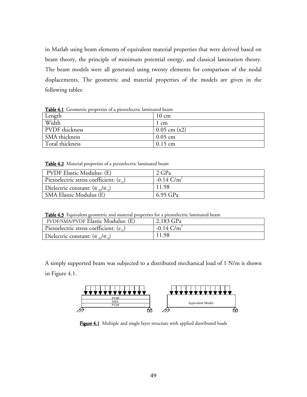in Matlab using beam elements of equivalent material properties that were derived based on beam theory, the principle of minimum potential energy, and classical lamination theory. The beam models were all generated using twenty elements for comparison of the nodal displacements. The geometric and material properties of the models are given in the following tables:

Length 10 cm Width 1 cm PVDF thickness 0.05 cm (x2) SMA thickness 0.05 cm Total thickness 0.15 cm

Table 4.1 Geometric properties of a piezoelectric laminated beam

Table 4.2 Material properties of a piezoelectric laminated beam

| PVDF Elastic Modulus: (E)                           | 2 GPa                    |
|-----------------------------------------------------|--------------------------|
| Piezoelectric stress coefficient: $(e_{2})$         | $-0.14$ C/m <sup>2</sup> |
| Dielectric constant: $(\epsilon_{12}/\epsilon_{0})$ | 11.98                    |
| <b>SMA Elastic Modulus (E)</b>                      | 6.95 GPa                 |

Table 4.3 Equivalent geometric and material properties for a piezoelectric laminated beam

| <b>PVDF/SMA/PVDF Elastic Modulus: (E)</b>         | $\frac{1}{2.183}$ GPa    |
|---------------------------------------------------|--------------------------|
| Piezoelectric stress coefficient: $(e_{i})$       | $-0.14$ C/m <sup>2</sup> |
| Dielectric constant: $(\epsilon_{33}/\epsilon_0)$ | 11.98                    |

A simply supported beam was subjected to a distributed mechanical load of 1 N/m is shown in Figure 4.1.



Figure 4.1 Multiple and single layer structure with applied distributed loads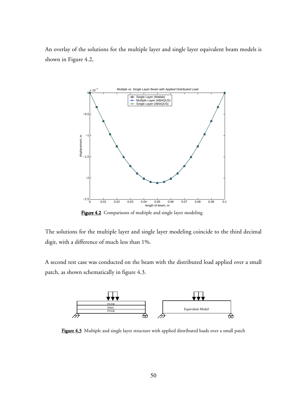An overlay of the solutions for the multiple layer and single layer equivalent beam models is shown in Figure 4.2,



Figure 4.2 Comparisons of multiple and single layer modeling

The solutions for the multiple layer and single layer modeling coincide to the third decimal digit, with a difference of much less than 1%.

A second test case was conducted on the beam with the distributed load applied over a small patch, as shown schematically in figure 4.3.



Figure 4.3 Multiple and single layer structure with applied distributed loads over a small patch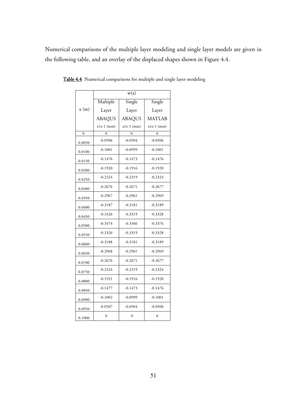Numerical comparisons of the multiple layer modeling and single layer models are given in the following table, and an overlay of the displaced shapes shown in Figure 4.4.

|                | w(x)           |                |                |
|----------------|----------------|----------------|----------------|
|                | Multiple       | Single         | Single         |
| x(m)           | Layer          | Layer          | Layer          |
|                | <b>ABAQUS</b>  | <b>ABAQUS</b>  | <b>MATLAB</b>  |
|                | $x1e-1$ (mm)   | $x1e-1$ (mm)   | $x1e-1$ (mm)   |
| $\overline{0}$ | 0              | ∩              | $\Omega$       |
| 0.0050         | $-0.0506$      | $-0.0504$      | $-0.0506$      |
| 0.0100         | $-0.1001$      | $-0.0999$      | $-0.1001$      |
| 0.0150         | $-0.1476$      | $-0.1473$      | $-0.1476$      |
| 0.0200         | $-0.1920$      | $-0.1916$      | $-0.1920$      |
| 0.0250         | $-0.2324$      | $-0.2319$      | $-0.2324$      |
| 0.0300         | $-0.2676$      | $-0.2671$      | $-0.2677$      |
| 0.0350         | $-0.2967$      | $-0.2961$      | $-0.2969$      |
| 0.0400         | $-0.3187$      | $-0.3181$      | $-0.3189$      |
| 0.0450         | $-0.3326$      | $-0.3319$      | $-0.3328$      |
| 0.0500         | $-0.3374$      | $-0.3366$      | $-0.3376$      |
| 0.0550         | $-0.3326$      | $-0.3319$      | $-0.3328$      |
| 0.0600         | $-0.3188$      | $-0.3181$      | $-0.3189$      |
| 0.0650         | $-0.2968$      | $-0.2961$      | $-0.2969$      |
| 0.0700         | $-0.2676$      | $-0.2671$      | $-0.2677$      |
| 0.0750         | $-0.2324$      | $-0.2319$      | $-0.2324$      |
| 0.0800         | $-0.1921$      | $-0.1916$      | $-0.1920$      |
| 0.0850         | $-0.1477$      | $-0.1473$      | $-0.1476$      |
| 0.0900         | $-0.1002$      | $-0.0999$      | $-0.1001$      |
| 0.0950         | $-0.0507$      | $-0.0504$      | $-0.0506$      |
| 0.1000         | $\overline{0}$ | $\overline{0}$ | $\overline{0}$ |

Table 4.4 Numerical comparisons for multiple and single layer modeling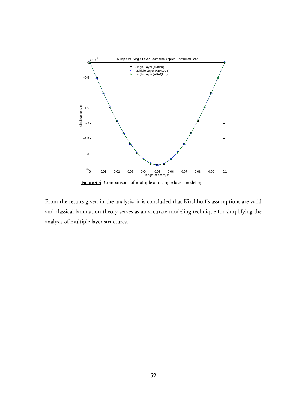

Figure 4.4 Comparisons of multiple and single layer modeling

From the results given in the analysis, it is concluded that Kirchhoff's assumptions are valid and classical lamination theory serves as an accurate modeling technique for simplifying the analysis of multiple layer structures.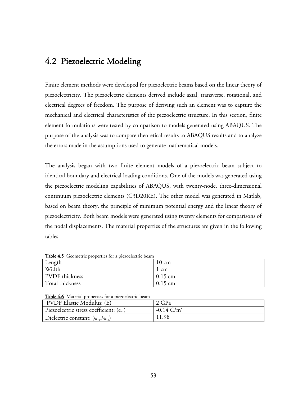## 4.2 Piezoelectric Modeling

Finite element methods were developed for piezoelectric beams based on the linear theory of piezoelectricity. The piezoelectric elements derived include axial, transverse, rotational, and electrical degrees of freedom. The purpose of deriving such an element was to capture the mechanical and electrical characteristics of the piezoelectric structure. In this section, finite element formulations were tested by comparison to models generated using ABAQUS. The purpose of the analysis was to compare theoretical results to ABAQUS results and to analyze the errors made in the assumptions used to generate mathematical models.

The analysis began with two finite element models of a piezoelectric beam subject to identical boundary and electrical loading conditions. One of the models was generated using the piezoelectric modeling capabilities of ABAQUS, with twenty-node, three-dimensional continuum piezoelectric elements (C3D20RE). The other model was generated in Matlab, based on beam theory, the principle of minimum potential energy and the linear theory of piezoelectricity. Both beam models were generated using twenty elements for comparisons of the nodal displacements. The material properties of the structures are given in the following tables.

| <b>Twore H</b> <sub>2</sub> deciments properties for a presentence beam |                 |
|-------------------------------------------------------------------------|-----------------|
| Length                                                                  | $10 \text{ cm}$ |
| Width                                                                   | l cm            |
| <b>PVDF</b> thickness                                                   | $0.15$ cm       |
| Total thickness                                                         | $0.15$ cm       |

Table 4.5. Geometric properties for a piezoelectric beam

Table 4.6 Material properties for a piezoelectric beam

| PVDF Elastic Modulus: (E)                         | $2 \text{ GPa}$          |
|---------------------------------------------------|--------------------------|
| Piezoelectric stress coefficient: $(e_{31})$      | $-0.14$ C/m <sup>2</sup> |
| Dielectric constant: $(\epsilon_{33}/\epsilon_0)$ | 11.98                    |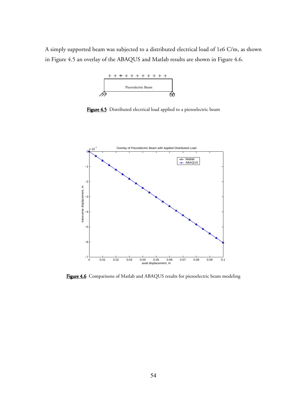A simply supported beam was subjected to a distributed electrical load of 1e6 C/m, as shown in Figure 4.5 an overlay of the ABAQUS and Matlab results are shown in Figure 4.6.



Figure 4.5 Distributed electrical load applied to a piezoelectric beam



Figure 4.6 Comparisons of Matlab and ABAQUS results for piezoelectric beam modeling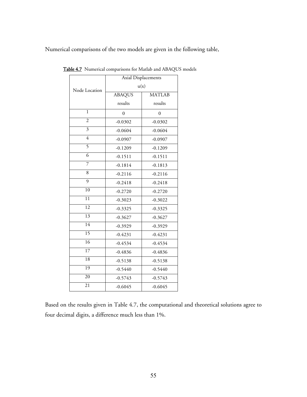Numerical comparisons of the two models are given in the following table,

|                 | Axial Displacements |               |
|-----------------|---------------------|---------------|
| Node Location   | u(x)                |               |
|                 | <b>ABAQUS</b>       | <b>MATLAB</b> |
|                 | results             | results       |
| $\mathbf{1}$    | $\theta$            | 0             |
| $\overline{2}$  | $-0.0302$           | $-0.0302$     |
| $\overline{3}$  | $-0.0604$           | $-0.0604$     |
| $\overline{4}$  | $-0.0907$           | $-0.0907$     |
| 5               | $-0.1209$           | $-0.1209$     |
| $\overline{6}$  | $-0.1511$           | $-0.1511$     |
| $\overline{7}$  | $-0.1814$           | $-0.1813$     |
| 8               | $-0.2116$           | $-0.2116$     |
| $\overline{9}$  | $-0.2418$           | $-0.2418$     |
| 10              | $-0.2720$           | $-0.2720$     |
| 11              | $-0.3023$           | $-0.3022$     |
| $\overline{12}$ | $-0.3325$           | $-0.3325$     |
| 13              | $-0.3627$           | $-0.3627$     |
| 14              | $-0.3929$           | $-0.3929$     |
| $\overline{15}$ | $-0.4231$           | $-0.4231$     |
| 16              | $-0.4534$           | $-0.4534$     |
| $\overline{17}$ | $-0.4836$           | $-0.4836$     |
| 18              | $-0.5138$           | $-0.5138$     |
| $\overline{19}$ | $-0.5440$           | $-0.5440$     |
| 20              | $-0.5743$           | $-0.5743$     |
| 21              | $-0.6045$           | $-0.6045$     |

Table 4.7 Numerical comparisons for Matlab and ABAQUS models

Based on the results given in Table 4.7, the computational and theoretical solutions agree to four decimal digits, a difference much less than 1%.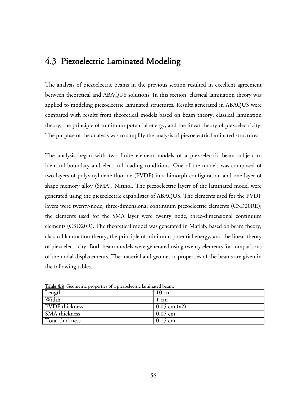## 4.3 Piezoelectric Laminated Modeling

The analysis of piezoelectric beams in the previous section resulted in excellent agreement between theoretical and ABAQUS solutions. In this section, classical lamination theory was applied to modeling piezoelectric laminated structures. Results generated in ABAQUS were compared with results from theoretical models based on beam theory, classical lamination theory, the principle of minimum potential energy, and the linear theory of piezoelectricity. The purpose of the analysis was to simplify the analysis of piezoelectric laminated structures.

The analysis began with two finite element models of a piezoelectric beam subject to identical boundary and electrical loading conditions. One of the models was composed of two layers of polyvinylidene fluoride (PVDF) in a bimorph configuration and one layer of shape memory alloy (SMA), Nitinol. The piezoelectric layers of the laminated model were generated using the piezoelectric capabilities of ABAQUS. The elements used for the PVDF layers were twenty-node, three-dimensional continuum piezoelectric elements (C3D20RE); the elements used for the SMA layer were twenty node, three-dimensional continuum elements (C3D20R). The theoretical model was generated in Matlab, based on beam theory, classical lamination theory, the principle of minimum potential energy, and the linear theory of piezoelectricity. Both beam models were generated using twenty elements for comparisons of the nodal displacements. The material and geometric properties of the beams are given in the following tables.

| $\sim$ ago and $\sim$ countering properties of a pressure attribution centri- |                 |  |
|-------------------------------------------------------------------------------|-----------------|--|
| Length                                                                        | $10 \text{ cm}$ |  |
| Width                                                                         | 1 cm            |  |
| <b>PVDF</b> thickness                                                         | $0.05$ cm (x2)  |  |
| SMA thickness                                                                 | $0.05$ cm       |  |
| Total thickness                                                               | $0.15$ cm       |  |

Table 4.8 Geometric properties of a piezoelectric laminated beam: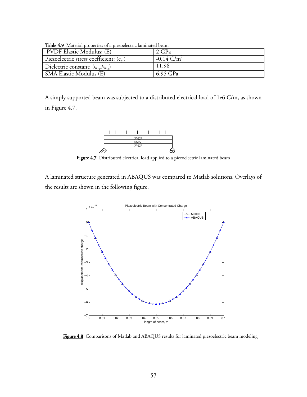| <b>Table 4.9</b> INTERTAL properties of a piezoelectric laminated beam |                          |  |
|------------------------------------------------------------------------|--------------------------|--|
| <b>PVDF Elastic Modulus: (E)</b>                                       | 2 GPa                    |  |
| Piezoelectric stress coefficient: $(e_{3})$                            | $-0.14$ C/m <sup>2</sup> |  |
| Dielectric constant: $(\epsilon_{33}/\epsilon_0)$                      | 11.98                    |  |
| SMA Elastic Modulus (E)                                                | 6.95 GPa                 |  |

 $T$  il 4.9 Material properties of a piezoelectric laminated beam  $\mathcal{L}$ 

A simply supported beam was subjected to a distributed electrical load of 1e6 C/m, as shown in Figure 4.7.



Figure 4.7 Distributed electrical load applied to a piezoelectric laminated beam

A laminated structure generated in ABAQUS was compared to Matlab solutions. Overlays of the results are shown in the following figure.



Figure 4.8 Comparisons of Matlab and ABAQUS results for laminated piezoelectric beam modeling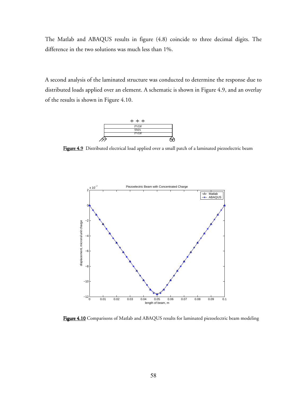The Matlab and ABAQUS results in figure (4.8) coincide to three decimal digits. The difference in the two solutions was much less than 1%.

A second analysis of the laminated structure was conducted to determine the response due to distributed loads applied over an element. A schematic is shown in Figure 4.9, and an overlay of the results is shown in Figure 4.10.



Figure 4.9 Distributed electrical load applied over a small patch of a laminated piezoelectric beam



Figure 4.10 Comparisons of Matlab and ABAQUS results for laminated piezoelectric beam modeling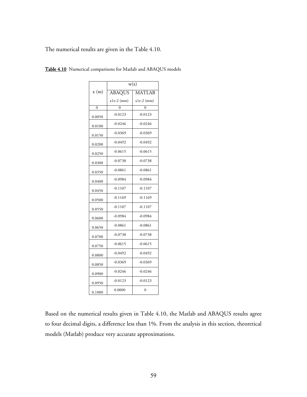The numerical results are given in the Table 4.10.

|          | w(x)          |               |
|----------|---------------|---------------|
| x(m)     | <b>ABAQUS</b> | <b>MATLAB</b> |
|          | $x1e-2$ (mm)  | $x1e-2$ (mm)  |
| $\Omega$ | O             | O             |
| 0.0050   | $-0.0123$     | $-0.0123$     |
| 0.0100   | $-0.0246$     | $-0.0246$     |
| 0.0150   | $-0.0369$     | $-0.0369$     |
| 0.0200   | $-0.0492$     | $-0.0492$     |
| 0.0250   | $-0.0615$     | $-0.0615$     |
| 0.0300   | $-0.0738$     | $-0.0738$     |
| 0.0350   | $-0.0861$     | $-0.0861$     |
| 0.0400   | $-0.0984$     | $-0.0984$     |
| 0.0450   | $-0.1107$     | $-0.1107$     |
| 0.0500   | $-0.1169$     | $-0.1169$     |
| 0.0550   | $-0.1107$     | $-0.1107$     |
| 0.0600   | $-0.0984$     | $-0.0984$     |
| 0.0650   | $-0.0861$     | $-0.0861$     |
| 0.0700   | $-0.0738$     | $-0.0738$     |
| 0.0750   | $-0.0615$     | $-0.0615$     |
| 0.0800   | $-0.0492$     | $-0.0492$     |
| 0.0850   | $-0.0369$     | $-0.0369$     |
| 0.0900   | $-0.0246$     | $-0.0246$     |
| 0.0950   | $-0.0123$     | $-0.0123$     |
| 0.1000   | 0.0000        | $\theta$      |

Table 4.10 Numerical comparisons for Matlab and ABAQUS models

Based on the numerical results given in Table 4.10, the Matlab and ABAQUS results agree to four decimal digits, a difference less than 1%. From the analysis in this section, theoretical models (Matlab) produce very accurate approximations.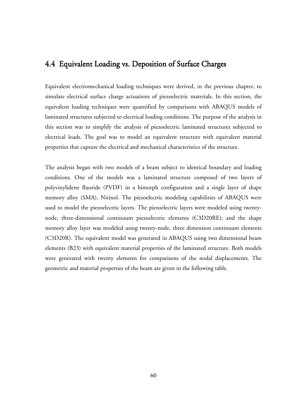### 4.4 Equivalent Loading vs. Deposition of Surface Charges

Equivalent electromechanical loading techniques were derived, in the previous chapter, to simulate electrical surface charge actuations of piezoelectric materials. In this section, the equivalent loading techniques were quantified by comparisons with ABAQUS models of laminated structures subjected to electrical loading conditions. The purpose of the analysis in this section was to simplify the analysis of piezoelectric laminated structures subjected to electrical loads. The goal was to model an equivalent structure with equivalent material properties that capture the electrical and mechanical characteristics of the structure.

The analysis began with two models of a beam subject to identical boundary and loading conditions. One of the models was a laminated structure composed of two layers of polyvinylidene fluoride (PVDF) in a bimorph configuration and a single layer of shape memory alloy (SMA), Nitinol. The piezoelectric modeling capabilities of ABAQUS were used to model the piezoelectric layers. The piezoelectric layers were modeled using twentynode, three-dimensional continuum piezoelectric elements (C3D20RE); and the shape memory alloy layer was modeled using twenty-node, three dimension continuum elements (C3D20R). The equivalent model was generated in ABAQUS using two dimensional beam elements (B23) with equivalent material properties of the laminated structure. Both models were generated with twenty elements for comparisons of the nodal displacements. The geometric and material properties of the beam are given in the following table.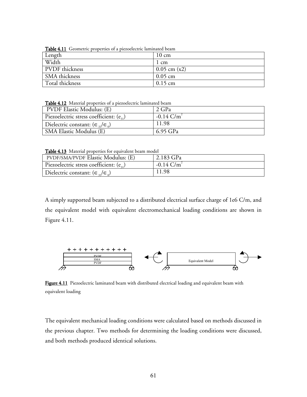| <b>Table T.II</b> Creditetile properties of a piczociectile familiated beam |                  |
|-----------------------------------------------------------------------------|------------------|
| Length                                                                      | $10 \text{ cm}$  |
| Width                                                                       | 1 cm             |
| PVDF thickness                                                              | $0.05$ cm $(x2)$ |
| SMA thickness                                                               | $0.05$ cm        |
| Total thickness                                                             | $0.15$ cm        |

Table 4.11 Geometric properties of a piezoelectric laminated beam

Table 4.12 Material properties of a piezoelectric laminated beam

| <b>PVDF Elastic Modulus: (E)</b>                  | 2 GPa                    |
|---------------------------------------------------|--------------------------|
| Piezoelectric stress coefficient: $(e_{i})$       | $-0.14$ C/m <sup>2</sup> |
| Dielectric constant: $(\epsilon_{33}/\epsilon_0)$ | 11.98                    |
| SMA Elastic Modulus (E)                           | 6.95 GPa                 |

Table 4.13 Material properties for equivalent beam model

| <b>PVDF/SMA/PVDF Elastic Modulus: (E)</b>           | $2.183$ GPa              |  |
|-----------------------------------------------------|--------------------------|--|
| Piezoelectric stress coefficient: $(e_{31})$        | $-0.14$ C/m <sup>2</sup> |  |
| Dielectric constant: $(\epsilon_{12}/\epsilon_{0})$ | 11.98                    |  |

A simply supported beam subjected to a distributed electrical surface charge of 1e6 C/m, and the equivalent model with equivalent electromechanical loading conditions are shown in Figure 4.11.



Figure 4.11 Piezoelectric laminated beam with distributed electrical loading and equivalent beam with equivalent loading

The equivalent mechanical loading conditions were calculated based on methods discussed in the previous chapter. Two methods for determining the loading conditions were discussed, and both methods produced identical solutions.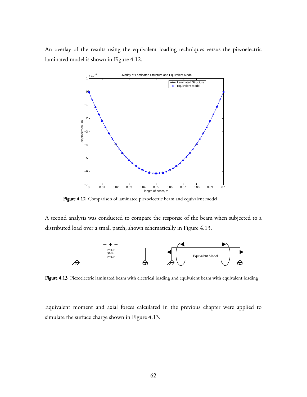An overlay of the results using the equivalent loading techniques versus the piezoelectric laminated model is shown in Figure 4.12.



Figure 4.12 Comparison of laminated piezoelectric beam and equivalent model

A second analysis was conducted to compare the response of the beam when subjected to a distributed load over a small patch, shown schematically in Figure 4.13.



Figure 4.13 Piezoelectric laminated beam with electrical loading and equivalent beam with equivalent loading

Equivalent moment and axial forces calculated in the previous chapter were applied to simulate the surface charge shown in Figure 4.13.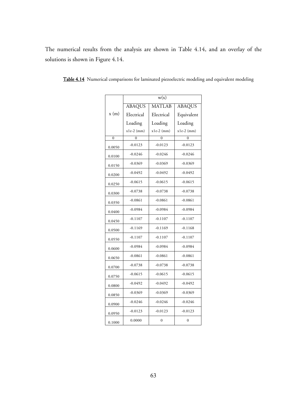|                | w(x)          |                |               |
|----------------|---------------|----------------|---------------|
|                | <b>ABAQUS</b> | <b>MATLAB</b>  | <b>ABAQUS</b> |
| x(m)           | Electrical    | Electrical     | Equivalent    |
|                | Loading       | Loading        | Loading       |
|                | $x1e-2$ (mm)  | $x1e-2$ (mm)   | $x1e-2$ (mm)  |
| $\overline{0}$ | $\theta$      | $\Omega$       | $\Omega$      |
| 0.0050         | $-0.0123$     | $-0.0123$      | $-0.0123$     |
| 0.0100         | $-0.0246$     | $-0.0246$      | $-0.0246$     |
| 0.0150         | $-0.0369$     | $-0.0369$      | $-0.0369$     |
| 0.0200         | $-0.0492$     | $-0.0492$      | $-0.0492$     |
| 0.0250         | $-0.0615$     | $-0.0615$      | $-0.0615$     |
| 0.0300         | $-0.0738$     | $-0.0738$      | $-0.0738$     |
| 0.0350         | $-0.0861$     | $-0.0861$      | $-0.0861$     |
| 0.0400         | $-0.0984$     | $-0.0984$      | $-0.0984$     |
| 0.0450         | $-0.1107$     | $-0.1107$      | $-0.1107$     |
| 0.0500         | $-0.1169$     | $-0.1169$      | $-0.1168$     |
| 0.0550         | $-0.1107$     | $-0.1107$      | $-0.1107$     |
| 0.0600         | $-0.0984$     | $-0.0984$      | $-0.0984$     |
| 0.0650         | $-0.0861$     | $-0.0861$      | $-0.0861$     |
| 0.0700         | $-0.0738$     | $-0.0738$      | $-0.0738$     |
| 0.0750         | $-0.0615$     | $-0.0615$      | $-0.0615$     |
| 0.0800         | $-0.0492$     | $-0.0492$      | $-0.0492$     |
| 0.0850         | $-0.0369$     | $-0.0369$      | $-0.0369$     |
| 0.0900         | $-0.0246$     | $-0.0246$      | $-0.0246$     |
| 0.0950         | $-0.0123$     | $-0.0123$      | $-0.0123$     |
| 0.1000         | 0.0000        | $\overline{0}$ | $\mathbf{0}$  |

Table 4.14 Numerical comparisons for laminated piezoelectric modeling and equivalent modeling

The numerical results from the analysis are shown in Table 4.14, and an overlay of the

solutions is shown in Figure 4.14.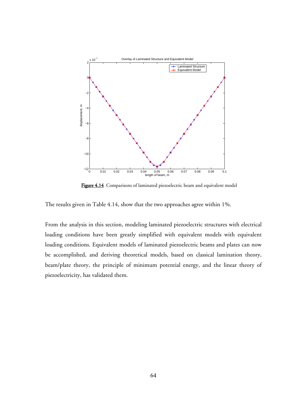

Figure 4.14 Comparisons of laminated piezoelectric beam and equivalent model

The results given in Table 4.14, show that the two approaches agree within 1%.

From the analysis in this section, modeling laminated piezoelectric structures with electrical loading conditions have been greatly simplified with equivalent models with equivalent loading conditions. Equivalent models of laminated piezoelectric beams and plates can now be accomplished, and deriving theoretical models, based on classical lamination theory, beam/plate theory, the principle of minimum potential energy, and the linear theory of piezoelectricity, has validated them.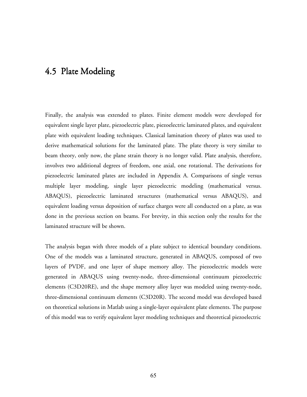### 4.5 Plate Modeling

Finally, the analysis was extended to plates. Finite element models were developed for equivalent single layer plate, piezoelectric plate, piezoelectric laminated plates, and equivalent plate with equivalent loading techniques. Classical lamination theory of plates was used to derive mathematical solutions for the laminated plate. The plate theory is very similar to beam theory, only now, the plane strain theory is no longer valid. Plate analysis, therefore, involves two additional degrees of freedom, one axial, one rotational. The derivations for piezoelectric laminated plates are included in Appendix A. Comparisons of single versus multiple layer modeling, single layer piezoelectric modeling (mathematical versus. ABAQUS), piezoelectric laminated structures (mathematical versus ABAQUS), and equivalent loading versus deposition of surface charges were all conducted on a plate, as was done in the previous section on beams. For brevity, in this section only the results for the laminated structure will be shown.

The analysis began with three models of a plate subject to identical boundary conditions. One of the models was a laminated structure, generated in ABAQUS, composed of two layers of PVDF, and one layer of shape memory alloy. The piezoelectric models were generated in ABAQUS using twenty-node, three-dimensional continuum piezoelectric elements (C3D20RE), and the shape memory alloy layer was modeled using twenty-node, three-dimensional continuum elements (C3D20R). The second model was developed based on theoretical solutions in Matlab using a single-layer equivalent plate elements. The purpose of this model was to verify equivalent layer modeling techniques and theoretical piezoelectric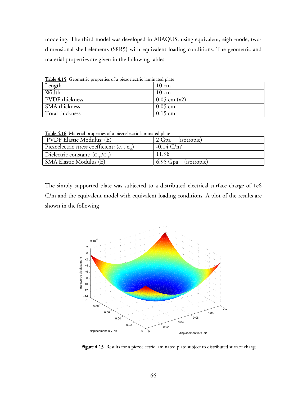modeling. The third model was developed in ABAQUS, using equivalent, eight-node, twodimensional shell elements (S8R5) with equivalent loading conditions. The geometric and material properties are given in the following tables.

| <b>lable 4.15</b> Geometric properties of a piezoelectric laminated plate |                  |  |
|---------------------------------------------------------------------------|------------------|--|
| Length                                                                    | $10 \text{ cm}$  |  |
| Width                                                                     | $10 \text{ cm}$  |  |
| PVDF thickness                                                            | $0.05$ cm $(x2)$ |  |
| SMA thickness                                                             | $0.05$ cm        |  |
| Total thickness                                                           | $0.15$ cm        |  |

Table 4.15 Geometric properties of a piezoelectric laminated plate

Table 4.16 Material properties of a piezoelectric laminated plate

| <b>PVDF Elastic Modulus: (E)</b>                     | 2 Gpa (isotropic)    |  |
|------------------------------------------------------|----------------------|--|
| Piezoelectric stress coefficient: $(e_{31}, e_{32})$ | $-0.14$ C/m          |  |
| Dielectric constant: $(\epsilon_{33}/\epsilon_0)$    | 11.98                |  |
| SMA Elastic Modulus (E)                              | 6.95 Gpa (isotropic) |  |

The simply supported plate was subjected to a distributed electrical surface charge of 1e6 C/m and the equivalent model with equivalent loading conditions. A plot of the results are shown in the following



Figure 4.15 Results for a piezoelectric laminated plate subject to distributed surface charge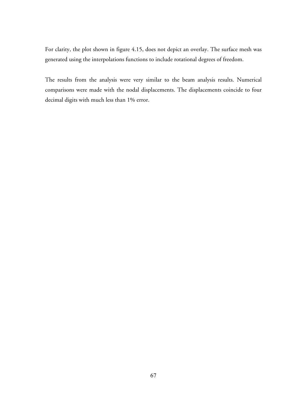For clarity, the plot shown in figure 4.15, does not depict an overlay. The surface mesh was generated using the interpolations functions to include rotational degrees of freedom.

The results from the analysis were very similar to the beam analysis results. Numerical comparisons were made with the nodal displacements. The displacements coincide to four decimal digits with much less than 1% error.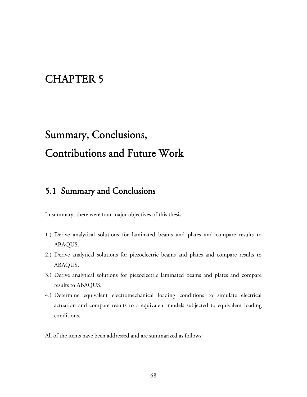## CHAPTER 5

# Summary, Conclusions, Contributions and Future Work

### 5.1 Summary and Conclusions

In summary, there were four major objectives of this thesis.

- 1.) Derive analytical solutions for laminated beams and plates and compare results to ABAQUS.
- 2.) Derive analytical solutions for piezoelectric beams and plates and compare results to ABAQUS.
- 3.) Derive analytical solutions for piezoelectric laminated beams and plates and compare results to ABAQUS.
- 4.) Determine equivalent electromechanical loading conditions to simulate electrical actuation and compare results to a equivalent models subjected to equivalent loading conditions.

All of the items have been addressed and are summarized as follows: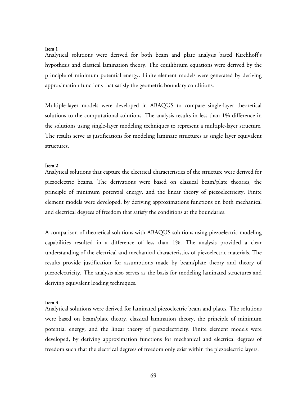#### Item 1

Analytical solutions were derived for both beam and plate analysis based Kirchhoff's hypothesis and classical lamination theory. The equilibrium equations were derived by the principle of minimum potential energy. Finite element models were generated by deriving approximation functions that satisfy the geometric boundary conditions.

Multiple-layer models were developed in ABAQUS to compare single-layer theoretical solutions to the computational solutions. The analysis results in less than 1% difference in the solutions using single-layer modeling techniques to represent a multiple-layer structure. The results serve as justifications for modeling laminate structures as single layer equivalent structures.

#### Item 2

Analytical solutions that capture the electrical characteristics of the structure were derived for piezoelectric beams. The derivations were based on classical beam/plate theories, the principle of minimum potential energy, and the linear theory of piezoelectricity. Finite element models were developed, by deriving approximations functions on both mechanical and electrical degrees of freedom that satisfy the conditions at the boundaries.

A comparison of theoretical solutions with ABAQUS solutions using piezoelectric modeling capabilities resulted in a difference of less than 1%. The analysis provided a clear understanding of the electrical and mechanical characteristics of piezoelectric materials. The results provide justification for assumptions made by beam/plate theory and theory of piezoelectricity. The analysis also serves as the basis for modeling laminated structures and deriving equivalent loading techniques.

#### Item 3

Analytical solutions were derived for laminated piezoelectric beam and plates. The solutions were based on beam/plate theory, classical lamination theory, the principle of minimum potential energy, and the linear theory of piezoelectricity. Finite element models were developed, by deriving approximation functions for mechanical and electrical degrees of freedom such that the electrical degrees of freedom only exist within the piezoelectric layers.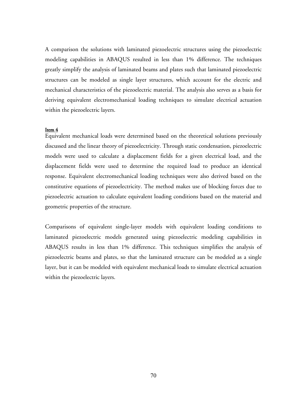A comparison the solutions with laminated piezoelectric structures using the piezoelectric modeling capabilities in ABAQUS resulted in less than 1% difference. The techniques greatly simplify the analysis of laminated beams and plates such that laminated piezoelectric structures can be modeled as single layer structures, which account for the electric and mechanical characteristics of the piezoelectric material. The analysis also serves as a basis for deriving equivalent electromechanical loading techniques to simulate electrical actuation within the piezoelectric layers.

#### Item 4

Equivalent mechanical loads were determined based on the theoretical solutions previously discussed and the linear theory of piezoelectricity. Through static condensation, piezoelectric models were used to calculate a displacement fields for a given electrical load, and the displacement fields were used to determine the required load to produce an identical response. Equivalent electromechanical loading techniques were also derived based on the constitutive equations of piezoelectricity. The method makes use of blocking forces due to piezoelectric actuation to calculate equivalent loading conditions based on the material and geometric properties of the structure.

Comparisons of equivalent single-layer models with equivalent loading conditions to laminated piezoelectric models generated using piezoelectric modeling capabilities in ABAQUS results in less than 1% difference. This techniques simplifies the analysis of piezoelectric beams and plates, so that the laminated structure can be modeled as a single layer, but it can be modeled with equivalent mechanical loads to simulate electrical actuation within the piezoelectric layers.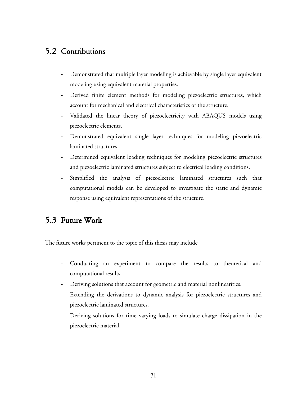### 5.2 Contributions

- Demonstrated that multiple layer modeling is achievable by single layer equivalent modeling using equivalent material properties.
- Derived finite element methods for modeling piezoelectric structures, which account for mechanical and electrical characteristics of the structure.
- Validated the linear theory of piezoelectricity with ABAQUS models using piezoelectric elements.
- Demonstrated equivalent single layer techniques for modeling piezoelectric laminated structures.
- Determined equivalent loading techniques for modeling piezoelectric structures and piezoelectric laminated structures subject to electrical loading conditions.
- Simplified the analysis of piezoelectric laminated structures such that computational models can be developed to investigate the static and dynamic response using equivalent representations of the structure.

### 5.3 Future Work

The future works pertinent to the topic of this thesis may include

- Conducting an experiment to compare the results to theoretical and computational results.
- Deriving solutions that account for geometric and material nonlinearities.
- Extending the derivations to dynamic analysis for piezoelectric structures and piezoelectric laminated structures.
- Deriving solutions for time varying loads to simulate charge dissipation in the piezoelectric material.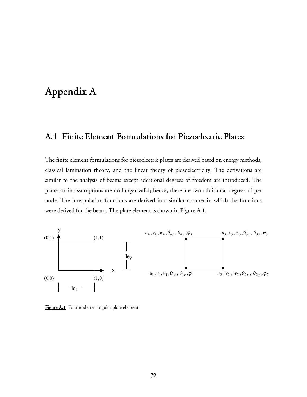## Appendix A

## A.1 Finite Element Formulations for Piezoelectric Plates

The finite element formulations for piezoelectric plates are derived based on energy methods, classical lamination theory, and the linear theory of piezoelectricity. The derivations are similar to the analysis of beams except additional degrees of freedom are introduced. The plane strain assumptions are no longer valid; hence, there are two additional degrees of per node. The interpolation functions are derived in a similar manner in which the functions were derived for the beam. The plate element is shown in Figure A.1.



Figure A.1 Four node rectangular plate element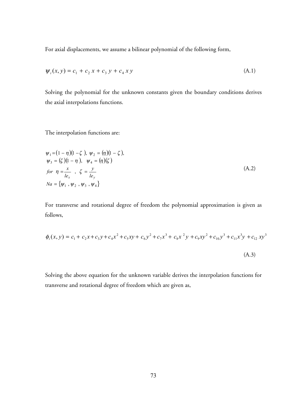For axial displacements, we assume a bilinear polynomial of the following form,

$$
\psi_i(x, y) = c_1 + c_2 x + c_3 y + c_4 x y \tag{A.1}
$$

Solving the polynomial for the unknown constants given the boundary conditions derives the axial interpolations functions.

The interpolation functions are:

$$
\psi_1 = (1 - \eta)(1 - \zeta), \ \psi_2 = (\eta)(1 - \zeta), \n\psi_3 = (\zeta)(1 - \eta), \ \psi_4 = (\eta)(\zeta) \nfor \ \eta = \frac{x}{le_x}, \ \zeta = \frac{y}{le_y} \nNa = {\psi_1, \psi_2, \psi_3, \psi_4}
$$
\n(A.2)

For transverse and rotational degree of freedom the polynomial approximation is given as follows,

$$
\phi_i(x, y) = c_1 + c_2 x + c_3 y + c_4 x^2 + c_5 xy + c_6 y^2 + c_7 x^3 + c_8 x^2 y + c_9 xy^2 + c_{10} y^3 + c_{11} x^3 y + c_{12} xy^3
$$
\n(A.3)

Solving the above equation for the unknown variable derives the interpolation functions for transverse and rotational degree of freedom which are given as,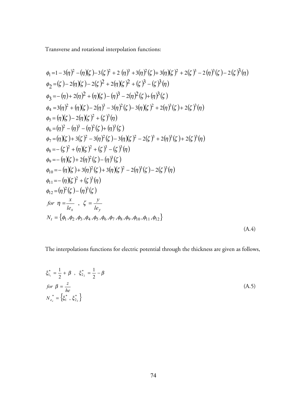Transverse and rotational interpolation functions:

$$
\phi_1 = 1 - 3(\eta)^2 - (\eta)(\zeta) - 3(\zeta)^2 + 2(\eta)^3 + 3(\eta)^2(\zeta) + 3(\eta)(\zeta)^2 + 2(\zeta)^3 - 2(\eta)^3(\zeta) - 2(\zeta)^3(\eta)
$$
  
\n
$$
\phi_2 = (\zeta) - 2(\eta)(\zeta) - 2(\zeta)^2 + 2(\eta)(\zeta)^2 + (\zeta)^3 - (\zeta)^3(\eta)
$$
  
\n
$$
\phi_3 = -(\eta) + 2(\eta)^2 + (\eta)(\zeta) - (\eta)^3 - 2(\eta)^2(\zeta) + (\eta)^3(\zeta)
$$
  
\n
$$
\phi_4 = 3(\eta)^2 + (\eta)(\zeta) - 2(\eta)^3 - 3(\eta)^2(\zeta) - 3(\eta)(\zeta)^2 + 2(\eta)^3(\zeta) + 2(\zeta)^3(\eta)
$$
  
\n
$$
\phi_5 = (\eta)(\zeta) - 2(\eta)(\zeta)^2 + (\zeta)^3(\eta)
$$
  
\n
$$
\phi_6 = (\eta)^2 - (\eta)^3 - (\eta)^2(\zeta) + (\eta)^3(\zeta)
$$
  
\n
$$
\phi_7 = (\eta)(\zeta) + 3(\zeta)^2 - 3(\eta)^2(\zeta) - 3(\eta)(\zeta)^2 - 2(\zeta)^3 + 2(\eta)^3(\zeta) + 2(\zeta)^3(\eta)
$$
  
\n
$$
\phi_8 = -(\zeta)^2 + (\eta)(\zeta)^2 + (\zeta)^3 - (\zeta)^3(\eta)
$$
  
\n
$$
\phi_9 = -(\eta)(\zeta) + 3(\eta)^2(\zeta) - 3(\eta)(\zeta)^2 - 2(\eta)^3(\zeta) - 2(\zeta)^3(\eta)
$$
  
\n
$$
\phi_{11} = -(\eta)(\zeta)^2 + (\zeta)^3(\eta)
$$
  
\n
$$
\phi_{12} = (\eta)^2(\zeta) - (\eta)^3(\zeta)
$$
  
\n
$$
\int \phi_{12} = (\eta)^2(\zeta) - (\eta)^3(\zeta)
$$
  
\n
$$
\int \phi_{12} = (\eta)^2(\zeta) - (\eta)^3(\zeta)
$$
  
\n
$$
\int \phi_{12} = (\eta)^2(\zeta) - (\eta)^3(\zeta)
$$
  
\n
$$
\int \phi
$$

The interpolations functions for electric potential through the thickness are given as follows,

$$
\xi_{1_1}^* = \frac{1}{2} + \beta , \quad \xi_{2_2}^* = \frac{1}{2} - \beta
$$
  
\nfor  $\beta = \frac{z}{he}$   
\n
$$
N_{e_e}^* = \{\xi_1^*, \xi_{2_2}^*\}
$$
\n(A.5)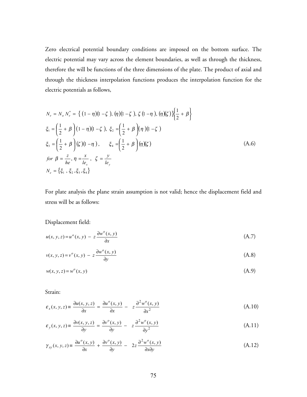Zero electrical potential boundary conditions are imposed on the bottom surface. The electric potential may vary across the element boundaries, as well as through the thickness, therefore the will be functions of the three dimensions of the plate. The product of axial and through the thickness interpolation functions produces the interpolation function for the electric potentials as follows,

$$
N_e = N_a N_e^* = \left\{ (1 - \eta)(1 - \zeta), (\eta)(1 - \zeta), \zeta (1 - \eta), (\eta)(\zeta) \right\} \left\{ \frac{1}{2} + \beta \right\}
$$
  
\n
$$
\xi_1 = \left( \frac{1}{2} + \beta \right) (1 - \eta)(1 - \zeta), \xi_2 = \left( \frac{1}{2} + \beta \right) (\eta)(1 - \zeta)
$$
  
\n
$$
\xi_3 = \left( \frac{1}{2} + \beta \right) (\zeta)(1 - \eta), \qquad \xi_4 = \left( \frac{1}{2} + \beta \right) (\eta)(\zeta)
$$
  
\nfor  $\beta = \frac{z}{he}, \eta = \frac{x}{le_x}, \zeta = \frac{y}{le_y}$   
\n
$$
N_e = \left\{ \xi_1, \xi_2, \xi_3, \xi_4 \right\}
$$
\n(A.6)

For plate analysis the plane strain assumption is not valid; hence the displacement field and stress will be as follows:

Displacement field:

$$
u(x, y, z) = uo(x, y) - z \frac{\partial wo(x, y)}{\partial x}
$$
 (A.7)

$$
v(x, y, z) = vo(x, y) - z \frac{\partial wo(x, y)}{\partial y}
$$
 (A.8)

$$
w(x, y, z) = wo(x, y)
$$
\n
$$
(A.9)
$$

Strain:

$$
\varepsilon_x(x, y, z) \equiv \frac{\partial u(x, y, z)}{\partial x} = \frac{\partial u^o(x, y)}{\partial x} - z \frac{\partial^2 w^o(x, y)}{\partial x^2}
$$
 (A.10)

$$
\varepsilon_y(x, y, z) = \frac{\partial v(x, y, z)}{\partial y} = \frac{\partial v^o(x, y)}{\partial y} - z \frac{\partial^2 w^o(x, y)}{\partial y^2}
$$
 (A.11)

$$
\gamma_{xy}(x, y, z) \equiv \frac{\partial u^{\circ}(x, y)}{\partial x} + \frac{\partial v^{\circ}(x, y)}{\partial y} - 2z \frac{\partial^2 w^{\circ}(x, y)}{\partial x \partial y}
$$
(A.12)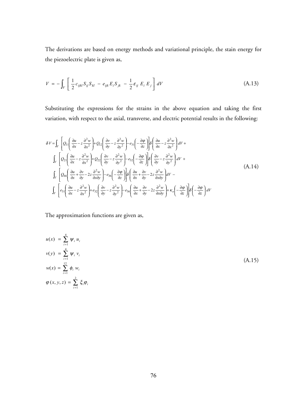The derivations are based on energy methods and variational principle, the stain energy for the piezoelectric plate is given as,

$$
V = -\int_{V} \left[ \frac{1}{2} c_{ijkl} S_{ij} S_{kl} - e_{ijk} E_{i} S_{jk} - \frac{1}{2} \varepsilon_{ij} E_{i} E_{j} \right] dV
$$
 (A.13)

Substituting the expressions for the strains in the above equation and taking the first variation, with respect to the axial, transverse, and electric potential results in the following:

$$
\delta V = \int_{V} \left[ Q_{11} \left( \frac{\partial u}{\partial x} - z \frac{\partial^{2} w}{\partial x^{2}} \right) + Q_{12} \left( \frac{\partial v}{\partial y} - z \frac{\partial^{2} w}{\partial y^{2}} \right) - e_{31} \left( -\frac{\partial \varphi}{\partial z} \right) \right] \delta \left( \frac{\partial u}{\partial x} - z \frac{\partial^{2} w}{\partial x^{2}} \right) dV +
$$
\n
$$
\int_{V} \left[ Q_{21} \left( \frac{\partial u}{\partial x} - z \frac{\partial^{2} w}{\partial x^{2}} \right) + Q_{22} \left( \frac{\partial v}{\partial y} - z \frac{\partial^{2} w}{\partial y^{2}} \right) - e_{32} \left( -\frac{\partial \varphi}{\partial z} \right) \right] \delta \left( \frac{\partial v}{\partial y} - z \frac{\partial^{2} w}{\partial y^{2}} \right) dV +
$$
\n
$$
\int_{V} \left[ Q_{66} \left( \frac{\partial u}{\partial x} + \frac{\partial v}{\partial y} - 2z \frac{\partial^{2} w}{\partial x \partial y} \right) - e_{36} \left( -\frac{\partial \varphi}{\partial z} \right) \right] \delta \left( \frac{\partial u}{\partial x} + \frac{\partial v}{\partial y} - 2z \frac{\partial^{2} w}{\partial x \partial y} \right) dV -
$$
\n
$$
\int_{V} \left[ e_{31} \left( \frac{\partial u}{\partial x} - z \frac{\partial^{2} w}{\partial x^{2}} \right) + e_{32} \left( \frac{\partial v}{\partial y} - z \frac{\partial^{2} w}{\partial y^{2}} \right) - e_{36} \left( \frac{\partial u}{\partial x} + \frac{\partial v}{\partial y} - 2z \frac{\partial^{2} w}{\partial x \partial y} \right) + \kappa_{0} \left( -\frac{\partial \varphi}{\partial z} \right) \right] \delta \left( -\frac{\partial \varphi}{\partial z} \right) dV
$$
\n(A.14)

The approximation functions are given as,

$$
u(x) = \sum_{i=1}^{4} \psi_i u_i
$$
  
\n
$$
v(y) = \sum_{i=1}^{4} \psi_i v_i
$$
  
\n
$$
w(x) = \sum_{i=1}^{12} \phi_i w_i
$$
  
\n
$$
\varphi(x, y, z) = \sum_{i=1}^{2} \xi_i \varphi_i
$$
\n(A.15)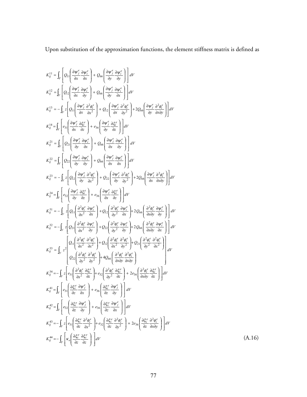Upon substitution of the approximation functions, the element stiffness matrix is defined as

$$
K_{ij}^{11} = \int_{V} \left[ Q_{11} \left( \frac{\partial w_{j}^{x}}{\partial x} \frac{\partial w_{i}^{x}}{\partial x} \right) + Q_{66} \left( \frac{\partial w_{j}^{x}}{\partial y} \frac{\partial w_{i}^{x}}{\partial y} \right) \right] dV
$$
  
\n
$$
K_{ij}^{12} = \int_{V} \left[ Q_{12} \left( \frac{\partial w_{j}^{x}}{\partial x} \frac{\partial w_{i}^{x}}{\partial y} \right) + Q_{66} \left( \frac{\partial w_{j}^{x}}{\partial y} \frac{\partial w_{i}^{x}}{\partial x} \right) \right] dV
$$
  
\n
$$
K_{ij}^{13} = -\int_{V} \left[ Q_{11} \left( \frac{\partial w_{j}^{x}}{\partial x} \frac{\partial z_{j}^{x}}{\partial x} \right) + Q_{22} \left( \frac{\partial w_{j}^{x}}{\partial x} \frac{\partial z_{j}^{x}}{\partial y} \right) + 2Q_{66} \left( \frac{\partial w_{j}^{x}}{\partial y} \frac{\partial z_{j}^{x}}{\partial y} \right) \right] dV
$$
  
\n
$$
K_{ij}^{14} = \int_{V} \left[ e_{11} \left( \frac{\partial w_{j}^{x}}{\partial x} \frac{\partial z_{j}^{x}}{\partial x} \right) + e_{36} \left( \frac{\partial w_{j}^{x}}{\partial x} \frac{\partial z_{j}^{x}}{\partial y} \right) \right] dV
$$
  
\n
$$
K_{ij}^{21} = \int_{V} \left[ Q_{21} \left( \frac{\partial w_{j}^{x}}{\partial y} \frac{\partial w_{j}^{x}}{\partial x} \right) + Q_{66} \left( \frac{\partial w_{j}^{x}}{\partial x} \frac{\partial w_{j}^{x}}{\partial y} \right) \right] dV
$$
  
\n
$$
K_{ij}^{22} = -\int_{V} \left[ Q_{22} \left( \frac{\partial w_{j}^{x}}{\partial y} \frac{\partial w_{j}^{x}}{\partial x} \right) + Q_{66} \left( \frac{\partial w_{j}^{x}}{\partial x} \frac{\partial w_{j}^{x}}{\partial x} \right) \right] dV
$$
  
\n
$$
K_{ij}^{23} = -\
$$

(A.16)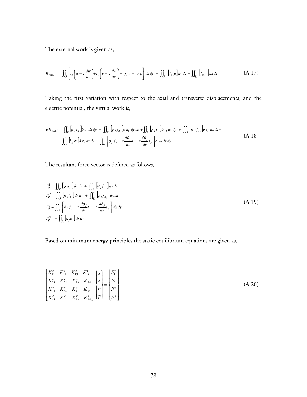The external work is given as,

$$
W_{total} = \iint_{R} \left[ t_x \left( u - z \frac{dw}{dx} \right) + t_y \left( v - z \frac{dw}{dy} \right) + f_t w - \sigma \varphi \right] dx dy + \iint_{R} \left[ f_{a_x} u \right] dy dz + \iint_{R} \left[ f_{a_y} v \right] dx dz \tag{A.17}
$$

Taking the first variation with respect to the axial and transverse displacements, and the electric potential, the virtual work is,

$$
\delta W_{total} = \iint_{R} \psi_j t_x \delta u_i dx dy + \iint_{R} \psi_j f_{a_x} \delta u_i dy dz + \iint_{R} \psi_j t_y \delta v_i dx dy + \iint_{R} \psi_j f_{a_y} \delta v_i dx dz - \iint_{R} \xi_j \sigma \delta v_i dx dy + \iint_{R} \left[ \phi_j f_t - z \frac{d\phi_j}{dx} t_x - z \frac{d\phi_j}{dy} t_y \right] \delta w_i dx dy
$$
\n(A.18)

The resultant force vector is defined as follows,

$$
F_{ij}^1 = \iint_R \left[ \psi_j t_x \right] dx \, dy + \iint_R \psi_j f_{a_x} \right] dy \, dz
$$
  
\n
$$
F_{ij}^2 = \iint_R \left[ \psi_j t_y \right] dx \, dy + \iint_R \psi_j f_{a_y} \right] dx \, dz
$$
  
\n
$$
F_{ij}^3 = \iint_R \left[ \phi_j f_t - z \frac{d\phi_j}{dx} t_x - z \frac{d\phi_j}{dy} t_y \right] dx \, dy
$$
  
\n
$$
F_{ij}^4 = - \iint_R \left[ \xi_j \sigma \right] dx \, dy
$$
\n(A.19)

Based on minimum energy principles the static equilibrium equations are given as,

$$
\begin{bmatrix}\nK_{11}^e & K_{12}^e & K_{13}^e & K_{14}^e \\
K_{21}^e & K_{22}^e & K_{23}^e & K_{24}^e \\
K_{31}^e & K_{32}^e & K_{33}^e & K_{34}^e \\
K_{41}^e & K_{42}^e & K_{43}^e & K_{44}^e\n\end{bmatrix}\n\begin{bmatrix}\nu \\ v \\ w \\ \varphi\end{bmatrix} = \n\begin{bmatrix}\nF_1^e \\
F_2^e \\
F_3^e \\
F_4^e\n\end{bmatrix}
$$
\n(A.20)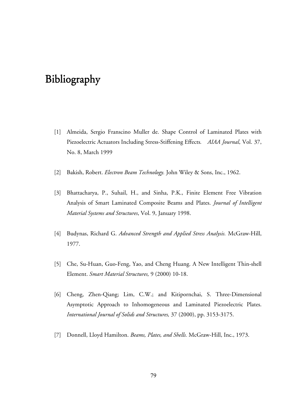## Bibliography Bibliography

- [1] Almeida, Sergio Franscino Muller de. Shape Control of Laminated Plates with Piezoelectric Actuators Including Stress-Stiffening Effects*. AIAA Journal*, Vol. 37, No. 8, March 1999
- [2] Bakish, Robert. *Electron Beam Technology.* John Wiley & Sons, Inc., 1962.
- [3] Bhattacharya, P., Suhail, H., and Sinha, P.K., Finite Element Free Vibration Analysis of Smart Laminated Composite Beams and Plates. *Journal of Intelligent Material Systems and Structures*, Vol. 9, January 1998.
- [4] Budynas, Richard G. *Advanced Strength and Applied Stress Analysis.* McGraw-Hill, 1977.
- [5] Che, Su-Huan, Guo-Feng, Yao, and Cheng Huang. A New Intelligent Thin-shell Element. *Smart Material Structures,* 9 (2000) 10-18.
- [6] Cheng, Zhen-Qiang; Lim, C.W.; and Kitipornchai, S. Three-Dimensional Asymptotic Approach to Inhomogeneous and Laminated Piezoelectric Plates. *International Journal of Solids and Structures,* 37 (2000), pp. 3153-3175.
- [7] Donnell, Lloyd Hamilton. *Beams, Plates, and Shells.* McGraw-Hill, Inc., 1973.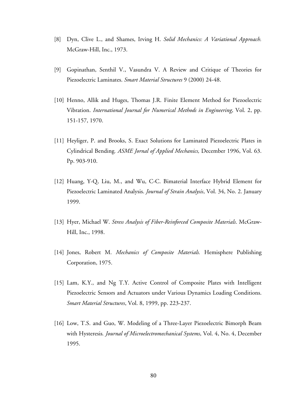- [8] Dyn, Clive L., and Shames, Irving H. *Solid Mechanics: A Variational Approach.* McGraw-Hill, Inc., 1973.
- [9] Gopinathan, Senthil V., Vasundra V. A Review and Critique of Theories for Piezoelectric Laminates. *Smart Material Structures* 9 (2000) 24-48.
- [10] Henno, Allik and Huges, Thomas J.R. Finite Element Method for Piezoelectric Vibration. *International Journal for Numerical Methods in Engineering*, Vol. 2, pp. 151-157, 1970.
- [11] Heyliger, P. and Brooks, S. Exact Solutions for Laminated Piezoelectric Plates in Cylindrical Bending*. ASME Jornal of Applied Mechanics,* December 1996, Vol. 63. Pp. 903-910.
- [12] Huang, Y-Q, Liu, M., and Wu, C-C. Bimaterial Interface Hybrid Element for Piezoelectric Laminated Analysis. *Journal of Strain Analysis*, Vol. 34, No. 2. January 1999.
- [13] Hyer, Michael W. *Stress Analysis of Fiber-Reinforced Composite Materials*. McGraw-Hill, Inc., 1998.
- [14] Jones, Robert M. *Mechanics of Composite Materials.* Hemisphere Publishing Corporation, 1975.
- [15] Lam, K.Y., and Ng T.Y. Active Control of Composite Plates with Intelligent Piezoelectric Sensors and Actuators under Various Dynamics Loading Conditions. *Smart Material Structures*, Vol. 8, 1999, pp. 223-237.
- [16] Low, T.S. and Guo, W. Modeling of a Three-Layer Piezoelectric Bimorph Beam with Hysteresis*. Journal of Microelectromechanical Systems*, Vol. 4, No. 4, December 1995.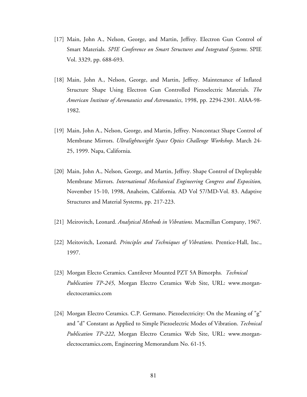- [17] Main, John A., Nelson, George, and Martin, Jeffrey. Electron Gun Control of Smart Materials. *SPIE Conference on Smart Structures and Integrated Systems*. SPIE Vol. 3329, pp. 688-693.
- [18] Main, John A., Nelson, George, and Martin, Jeffrey. Maintenance of Inflated Structure Shape Using Electron Gun Controlled Piezoelectric Materials. *The American Institute of Aeronautics and Astronautics*, 1998, pp. 2294-2301. AIAA-98- 1982.
- [19] Main, John A., Nelson, George, and Martin, Jeffrey. Noncontact Shape Control of Membrane Mirrors. *Ultralightweight Space Optics Challenge Workshop*. March 24- 25, 1999. Napa, California.
- [20] Main, John A., Nelson, George, and Martin, Jeffrey. Shape Control of Deployable Membrane Mirrors. *International Mechanical Engineering Congress and Exposition,*  November 15-10, 1998, Anaheim, California. AD Vol 57/MD-Vol. 83. Adaptive Structures and Material Systems, pp. 217-223.
- [21] Meirovitch, Leonard. *Analytical Methods in Vibrations.* Macmillan Company, 1967.
- [22] Meitovitch, Leonard. *Principles and Techniques of Vibrations*. Prentice-Hall, Inc., 1997.
- [23] Morgan Electo Ceramics. Cantilever Mounted PZT 5A Bimorphs*. Technical Publication TP-245*, Morgan Electro Ceramics Web Site, URL: www.morganelectoceramics.com
- [24] Morgan Electro Ceramics. C.P. Germano. Piezoelectricity: On the Meaning of "g" and "d" Constant as Applied to Simple Piezoelectric Modes of Vibration. *Technical Publication TP-222*, Morgan Electro Ceramics Web Site, URL: www.morganelectoceramics.com, Engineering Memorandum No. 61-15.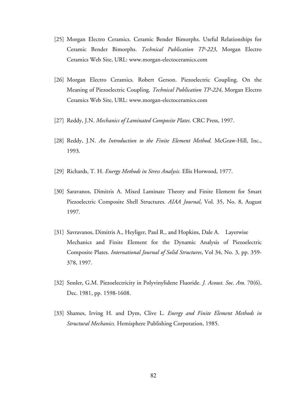- [25] Morgan Electro Ceramics. Ceramic Bender Bimorphs. Useful Relationships for Ceramic Bender Bimorphs. *Technical Publication TP-223*, Morgan Electro Ceramics Web Site, URL: www.morgan-electoceramics.com
- [26] Morgan Electro Ceramics. Robert Gerson. Piezoelectric Coupling. On the Meaning of Piezoelectric Coupling. *Technical Publication TP-224*, Morgan Electro Ceramics Web Site, URL: www.morgan-electoceramics.com
- [27] Reddy, J.N. *Mechanics of Laminated Composite Plates*. CRC Press, 1997.
- [28] Reddy, J.N. *An Introduction to the Finite Element Method.* McGraw-Hill, Inc., 1993.
- [29] Richards, T. H. *Energy Methods in Stress Analysis.* Ellis Horwood, 1977.
- [30] Saravanos, Dimitris A. Mixed Laminate Theory and Finite Element for Smart Piezoelectric Composite Shell Structures. *AIAA Journal*, Vol. 35, No. 8, August 1997.
- [31] Savravanos, Dimitris A., Heyliger, Paul R., and Hopkins, Dale A. Layerwise Mechanics and Finite Element for the Dynamic Analysis of Piezoelectric Composite Plates. *International Journal of Solid Structures*, Vol 34, No. 3, pp. 359- 378, 1997.
- [32] Sessler, G.M. Piezoelectricity in Polyvinylidene Fluoride. *J. Acoust. Soc. Am.* 70(6), Dec. 1981, pp. 1598-1608.
- [33] Shames, Irving H. and Dym, Clive L. *Energy and Finite Element Methods in Structural Mechanics.* Hemisphere Publishing Corporation, 1985.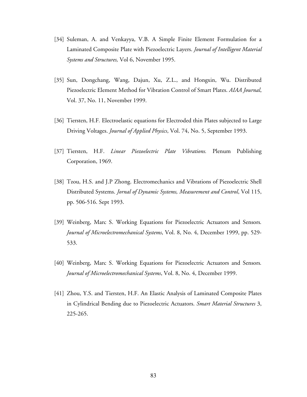- [34] Suleman, A. and Venkayya, V.B. A Simple Finite Element Formulation for a Laminated Composite Plate with Piezoelectric Layers. *Journal of Intelligent Material Systems and Structures,* Vol 6, November 1995.
- [35] Sun, Dongchang, Wang, Dajun, Xu, Z.L., and Hongxin, Wu. Distributed Piezoelectric Element Method for Vibration Control of Smart Plates. *AIAA Journal*, Vol. 37, No. 11, November 1999.
- [36] Tiersten, H.F*.* Electroelastic equations for Electroded thin Plates subjected to Large Driving Voltages. *Journal of Applied Physics*, Vol. 74, No. 5, September 1993.
- [37] Tiersten, H.F. *Linear Piezoelectric Plate Vibrations.* Plenum Publishing Corporation, 1969.
- [38] Tzou, H.S. and J.P Zhong. Electromechanics and Vibrations of Piezoelectric Shell Distributed Systems. *Jornal of Dynamic Systems, Measurement and Control*, Vol 115, pp. 506-516. Sept 1993.
- [39] Weinberg, Marc S. Working Equations for Piezoelectric Actuators and Sensors*. Journal of Microelectromechanical Systems*, Vol. 8, No. 4, December 1999, pp. 529- 533.
- [40] Weinberg, Marc S. Working Equations for Piezoelectric Actuators and Sensors*. Journal of Microelectromechanical Systems*, Vol. 8, No. 4, December 1999.
- [41] Zhou, Y.S. and Tiersten, H.F. An Elastic Analysis of Laminated Composite Plates in Cylindrical Bending due to Piezoelectric Actuators. *Smart Material Structures* 3, 225-265.